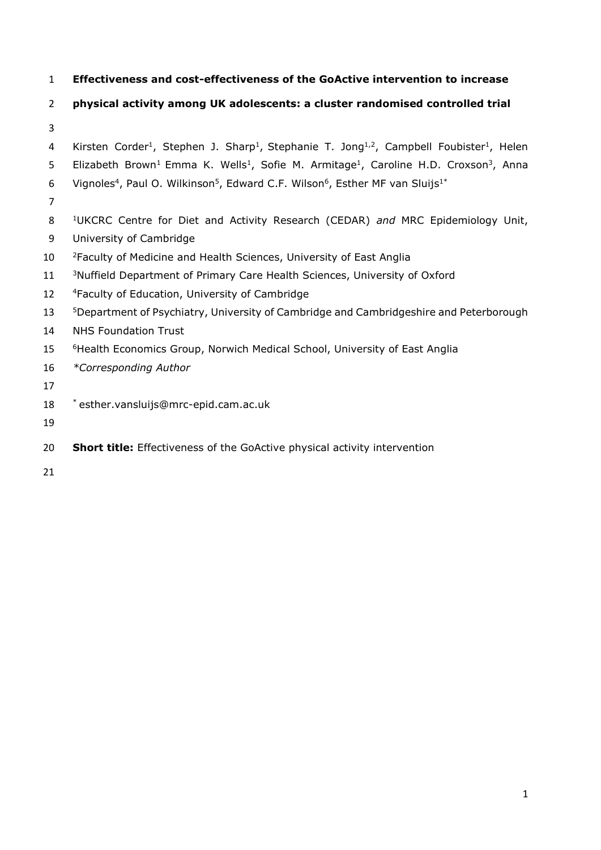**Effectiveness and cost-effectiveness of the GoActive intervention to increase** 

# **physical activity among UK adolescents: a cluster randomised controlled trial**

- 
- 4 Kirsten Corder<sup>1</sup>, Stephen J. Sharp<sup>1</sup>, Stephanie T. Jong<sup>1,2</sup>, Campbell Foubister<sup>1</sup>, Helen
- 5 Elizabeth Brown<sup>1</sup> Emma K. Wells<sup>1</sup>, Sofie M. Armitage<sup>1</sup>, Caroline H.D. Croxson<sup>3</sup>, Anna
- 6 Vignoles<sup>4</sup>, Paul O. Wilkinson<sup>5</sup>, Edward C.F. Wilson<sup>6</sup>, Esther MF van Sluijs<sup>1\*</sup>
- 
- UKCRC Centre for Diet and Activity Research (CEDAR) *and* MRC Epidemiology Unit,
- University of Cambridge
- 10 <sup>2</sup> Faculty of Medicine and Health Sciences, University of East Anglia
- 11 <sup>3</sup>Nuffield Department of Primary Care Health Sciences, University of Oxford
- 12 <sup>4</sup> Faculty of Education, University of Cambridge
- **5Department of Psychiatry, University of Cambridge and Cambridgeshire and Peterborough**
- NHS Foundation Trust
- 15 <sup>6</sup>Health Economics Group, Norwich Medical School, University of East Anglia
- *\*Corresponding Author*
- 
- \* esther.vansluijs@mrc-epid.cam.ac.uk
- 
- **Short title:** Effectiveness of the GoActive physical activity intervention
-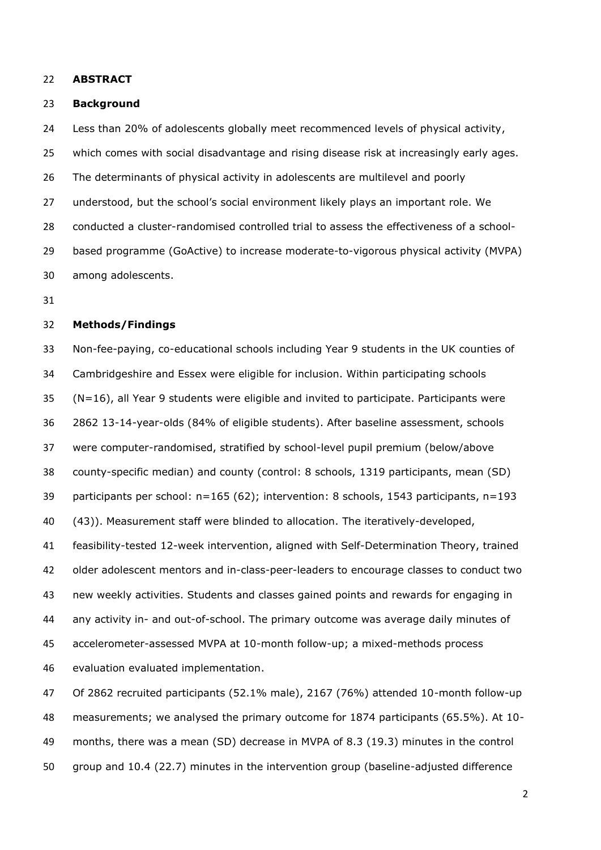#### **ABSTRACT**

#### **Background**

 Less than 20% of adolescents globally meet recommenced levels of physical activity, which comes with social disadvantage and rising disease risk at increasingly early ages. The determinants of physical activity in adolescents are multilevel and poorly understood, but the school's social environment likely plays an important role. We conducted a cluster-randomised controlled trial to assess the effectiveness of a school- based programme (GoActive) to increase moderate-to-vigorous physical activity (MVPA) among adolescents.

## **Methods/Findings**

 Non-fee-paying, co-educational schools including Year 9 students in the UK counties of Cambridgeshire and Essex were eligible for inclusion. Within participating schools (N=16), all Year 9 students were eligible and invited to participate. Participants were 2862 13-14-year-olds (84% of eligible students). After baseline assessment, schools were computer-randomised, stratified by school-level pupil premium (below/above county-specific median) and county (control: 8 schools, 1319 participants, mean (SD) participants per school: n=165 (62); intervention: 8 schools, 1543 participants, n=193 (43)). Measurement staff were blinded to allocation. The iteratively-developed, feasibility-tested 12-week intervention, aligned with Self-Determination Theory, trained older adolescent mentors and in-class-peer-leaders to encourage classes to conduct two new weekly activities. Students and classes gained points and rewards for engaging in any activity in- and out-of-school. The primary outcome was average daily minutes of accelerometer-assessed MVPA at 10-month follow-up; a mixed-methods process evaluation evaluated implementation.

 Of 2862 recruited participants (52.1% male), 2167 (76%) attended 10-month follow-up measurements; we analysed the primary outcome for 1874 participants (65.5%). At 10- months, there was a mean (SD) decrease in MVPA of 8.3 (19.3) minutes in the control group and 10.4 (22.7) minutes in the intervention group (baseline-adjusted difference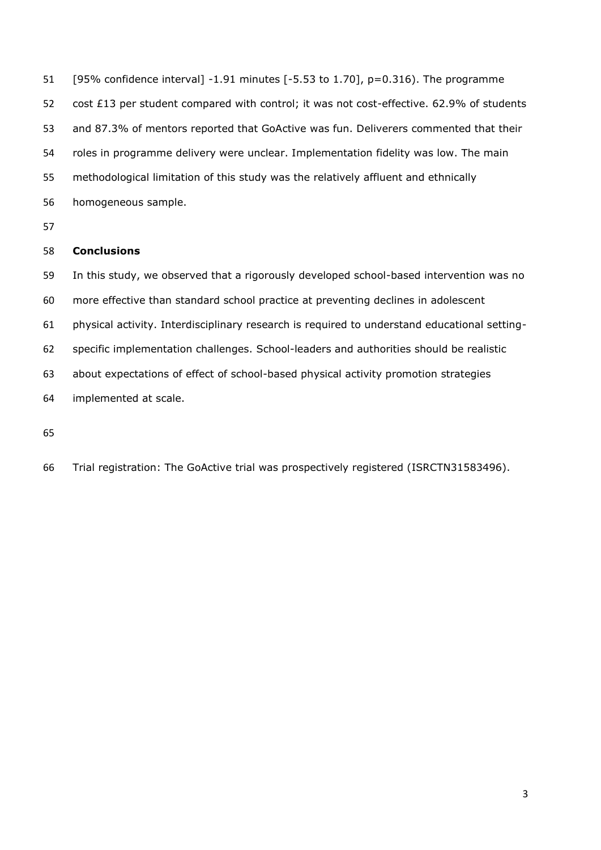[95% confidence interval] -1.91 minutes [-5.53 to 1.70], p=0.316). The programme cost £13 per student compared with control; it was not cost-effective. 62.9% of students and 87.3% of mentors reported that GoActive was fun. Deliverers commented that their roles in programme delivery were unclear. Implementation fidelity was low. The main methodological limitation of this study was the relatively affluent and ethnically homogeneous sample.

# **Conclusions**

 In this study, we observed that a rigorously developed school-based intervention was no more effective than standard school practice at preventing declines in adolescent physical activity. Interdisciplinary research is required to understand educational setting- specific implementation challenges. School-leaders and authorities should be realistic about expectations of effect of school-based physical activity promotion strategies implemented at scale.

Trial registration: The GoActive trial was prospectively registered (ISRCTN31583496).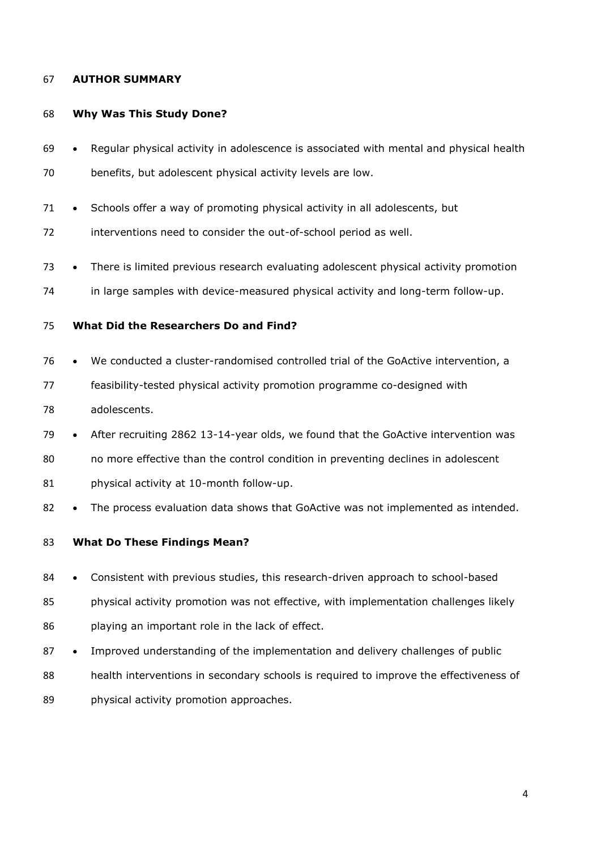## **AUTHOR SUMMARY**

## **Why Was This Study Done?**

- Regular physical activity in adolescence is associated with mental and physical health
- benefits, but adolescent physical activity levels are low.
- Schools offer a way of promoting physical activity in all adolescents, but
- interventions need to consider the out-of-school period as well.
- There is limited previous research evaluating adolescent physical activity promotion
- in large samples with device-measured physical activity and long-term follow-up.

# **What Did the Researchers Do and Find?**

- We conducted a cluster-randomised controlled trial of the GoActive intervention, a
- feasibility-tested physical activity promotion programme co-designed with adolescents.
- After recruiting 2862 13-14-year olds, we found that the GoActive intervention was
- no more effective than the control condition in preventing declines in adolescent
- 81 physical activity at 10-month follow-up.
- 82 The process evaluation data shows that GoActive was not implemented as intended.

## **What Do These Findings Mean?**

- Consistent with previous studies, this research-driven approach to school-based
- physical activity promotion was not effective, with implementation challenges likely playing an important role in the lack of effect.
- 87 Improved understanding of the implementation and delivery challenges of public
- health interventions in secondary schools is required to improve the effectiveness of
- 89 physical activity promotion approaches.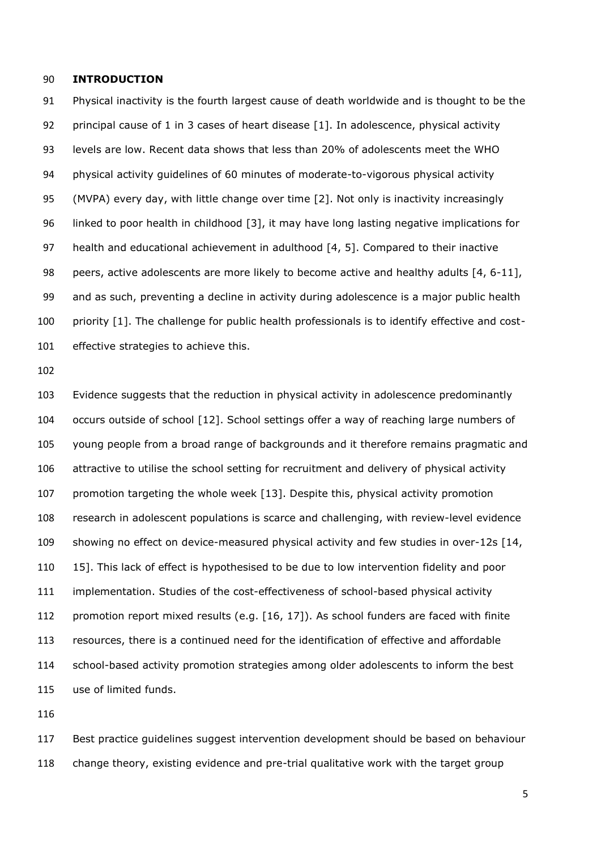## **INTRODUCTION**

 Physical inactivity is the fourth largest cause of death worldwide and is thought to be the 92 principal cause of 1 in 3 cases of heart disease [\[1\]](#page-28-0). In adolescence, physical activity levels are low. Recent data shows that less than 20% of adolescents meet the WHO physical activity guidelines of 60 minutes of moderate-to-vigorous physical activity (MVPA) every day, with little change over time [\[2\]](#page-28-1). Not only is inactivity increasingly linked to poor health in childhood [\[3\]](#page-28-2), it may have long lasting negative implications for health and educational achievement in adulthood [\[4,](#page-28-3) [5\]](#page-28-4). Compared to their inactive peers, active adolescents are more likely to become active and healthy adults [\[4,](#page-28-3) [6-11\]](#page-28-5), and as such, preventing a decline in activity during adolescence is a major public health priority [\[1\]](#page-28-0). The challenge for public health professionals is to identify effective and cost-effective strategies to achieve this.

 Evidence suggests that the reduction in physical activity in adolescence predominantly occurs outside of school [\[12\]](#page-28-6). School settings offer a way of reaching large numbers of young people from a broad range of backgrounds and it therefore remains pragmatic and attractive to utilise the school setting for recruitment and delivery of physical activity promotion targeting the whole week [\[13\]](#page-29-0). Despite this, physical activity promotion research in adolescent populations is scarce and challenging, with review-level evidence showing no effect on device-measured physical activity and few studies in over-12s [\[14,](#page-29-1) [15\]](#page-29-2). This lack of effect is hypothesised to be due to low intervention fidelity and poor implementation. Studies of the cost-effectiveness of school-based physical activity 112 promotion report mixed results (e.g. [\[16,](#page-29-3) [17\]](#page-29-4)). As school funders are faced with finite resources, there is a continued need for the identification of effective and affordable school-based activity promotion strategies among older adolescents to inform the best use of limited funds.

 Best practice guidelines suggest intervention development should be based on behaviour change theory, existing evidence and pre-trial qualitative work with the target group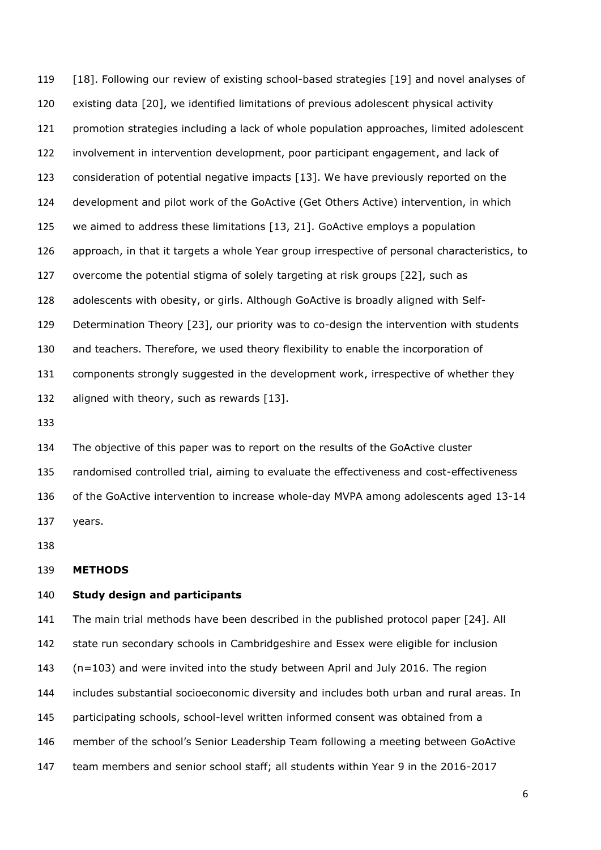[\[18\]](#page-29-5). Following our review of existing school-based strategies [\[19\]](#page-29-6) and novel analyses of existing data [\[20\]](#page-29-7), we identified limitations of previous adolescent physical activity promotion strategies including a lack of whole population approaches, limited adolescent involvement in intervention development, poor participant engagement, and lack of consideration of potential negative impacts [\[13\]](#page-29-0). We have previously reported on the development and pilot work of the GoActive (Get Others Active) intervention, in which we aimed to address these limitations [\[13,](#page-29-0) [21\]](#page-29-8). GoActive employs a population approach, in that it targets a whole Year group irrespective of personal characteristics, to overcome the potential stigma of solely targeting at risk groups [\[22\]](#page-29-9), such as adolescents with obesity, or girls. Although GoActive is broadly aligned with Self- Determination Theory [\[23\]](#page-29-10), our priority was to co-design the intervention with students and teachers. Therefore, we used theory flexibility to enable the incorporation of components strongly suggested in the development work, irrespective of whether they 132 aligned with theory, such as rewards [\[13\]](#page-29-0).

 The objective of this paper was to report on the results of the GoActive cluster randomised controlled trial, aiming to evaluate the effectiveness and cost-effectiveness of the GoActive intervention to increase whole-day MVPA among adolescents aged 13-14 years.

#### **METHODS**

## **Study design and participants**

 The main trial methods have been described in the published protocol paper [\[24\]](#page-29-11). All state run secondary schools in Cambridgeshire and Essex were eligible for inclusion (n=103) and were invited into the study between April and July 2016. The region includes substantial socioeconomic diversity and includes both urban and rural areas. In participating schools, school-level written informed consent was obtained from a member of the school's Senior Leadership Team following a meeting between GoActive team members and senior school staff; all students within Year 9 in the 2016-2017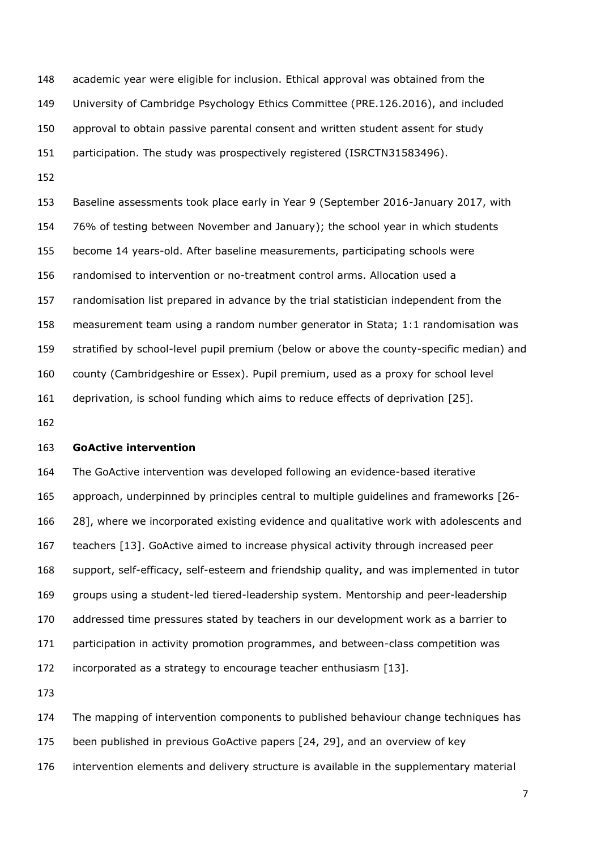academic year were eligible for inclusion. Ethical approval was obtained from the University of Cambridge Psychology Ethics Committee (PRE.126.2016), and included approval to obtain passive parental consent and written student assent for study participation. The study was prospectively registered (ISRCTN31583496). 

 Baseline assessments took place early in Year 9 (September 2016-January 2017, with 76% of testing between November and January); the school year in which students become 14 years-old. After baseline measurements, participating schools were randomised to intervention or no-treatment control arms. Allocation used a randomisation list prepared in advance by the trial statistician independent from the measurement team using a random number generator in Stata; 1:1 randomisation was stratified by school-level pupil premium (below or above the county-specific median) and county (Cambridgeshire or Essex). Pupil premium, used as a proxy for school level deprivation, is school funding which aims to reduce effects of deprivation [\[25\]](#page-29-12).

### **GoActive intervention**

 The GoActive intervention was developed following an evidence-based iterative approach, underpinned by principles central to multiple guidelines and frameworks [\[26-](#page-29-13) [28\]](#page-29-13), where we incorporated existing evidence and qualitative work with adolescents and teachers [\[13\]](#page-29-0). GoActive aimed to increase physical activity through increased peer support, self-efficacy, self-esteem and friendship quality, and was implemented in tutor groups using a student-led tiered-leadership system. Mentorship and peer-leadership addressed time pressures stated by teachers in our development work as a barrier to participation in activity promotion programmes, and between-class competition was incorporated as a strategy to encourage teacher enthusiasm [\[13\]](#page-29-0).

The mapping of intervention components to published behaviour change techniques has

been published in previous GoActive papers [\[24,](#page-29-11) [29\]](#page-30-0), and an overview of key

intervention elements and delivery structure is available in the supplementary material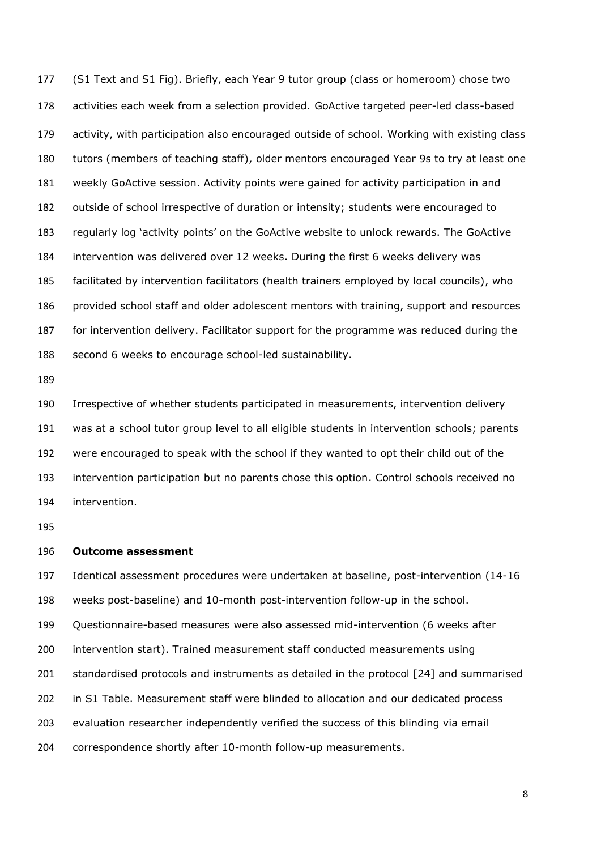(S1 Text and S1 Fig). Briefly, each Year 9 tutor group (class or homeroom) chose two activities each week from a selection provided. GoActive targeted peer-led class-based activity, with participation also encouraged outside of school. Working with existing class tutors (members of teaching staff), older mentors encouraged Year 9s to try at least one weekly GoActive session. Activity points were gained for activity participation in and outside of school irrespective of duration or intensity; students were encouraged to regularly log 'activity points' on the GoActive website to unlock rewards. The GoActive intervention was delivered over 12 weeks. During the first 6 weeks delivery was facilitated by intervention facilitators (health trainers employed by local councils), who provided school staff and older adolescent mentors with training, support and resources for intervention delivery. Facilitator support for the programme was reduced during the second 6 weeks to encourage school-led sustainability.

 Irrespective of whether students participated in measurements, intervention delivery was at a school tutor group level to all eligible students in intervention schools; parents were encouraged to speak with the school if they wanted to opt their child out of the intervention participation but no parents chose this option. Control schools received no intervention.

### **Outcome assessment**

 Identical assessment procedures were undertaken at baseline, post-intervention (14-16 weeks post-baseline) and 10-month post-intervention follow-up in the school. Questionnaire-based measures were also assessed mid-intervention (6 weeks after intervention start). Trained measurement staff conducted measurements using standardised protocols and instruments as detailed in the protocol [\[24\]](#page-29-11) and summarised in S1 Table. Measurement staff were blinded to allocation and our dedicated process evaluation researcher independently verified the success of this blinding via email correspondence shortly after 10-month follow-up measurements.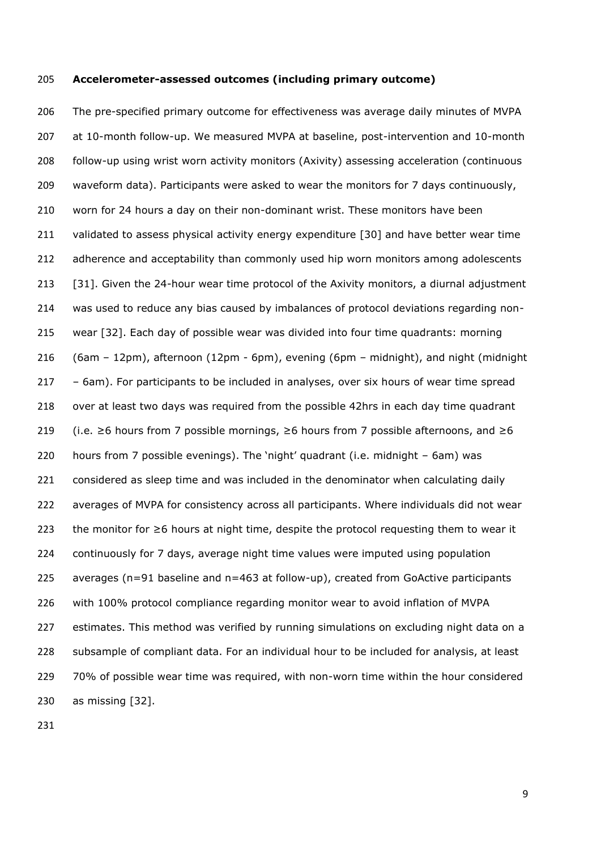#### **Accelerometer-assessed outcomes (including primary outcome)**

 The pre-specified primary outcome for effectiveness was average daily minutes of MVPA at 10-month follow-up. We measured MVPA at baseline, post-intervention and 10-month follow-up using wrist worn activity monitors (Axivity) assessing acceleration (continuous waveform data). Participants were asked to wear the monitors for 7 days continuously, worn for 24 hours a day on their non-dominant wrist. These monitors have been validated to assess physical activity energy expenditure [\[30\]](#page-30-1) and have better wear time 212 adherence and acceptability than commonly used hip worn monitors among adolescents [\[31\]](#page-30-2). Given the 24-hour wear time protocol of the Axivity monitors, a diurnal adjustment was used to reduce any bias caused by imbalances of protocol deviations regarding non- wear [\[32\]](#page-30-3). Each day of possible wear was divided into four time quadrants: morning (6am – 12pm), afternoon (12pm - 6pm), evening (6pm – midnight), and night (midnight – 6am). For participants to be included in analyses, over six hours of wear time spread over at least two days was required from the possible 42hrs in each day time quadrant 219 (i.e.  $\geq$ 6 hours from 7 possible mornings,  $\geq$ 6 hours from 7 possible afternoons, and  $\geq$ 6 hours from 7 possible evenings). The 'night' quadrant (i.e. midnight – 6am) was 221 considered as sleep time and was included in the denominator when calculating daily averages of MVPA for consistency across all participants. Where individuals did not wear the monitor for ≥6 hours at night time, despite the protocol requesting them to wear it continuously for 7 days, average night time values were imputed using population averages (n=91 baseline and n=463 at follow-up), created from GoActive participants with 100% protocol compliance regarding monitor wear to avoid inflation of MVPA estimates. This method was verified by running simulations on excluding night data on a subsample of compliant data. For an individual hour to be included for analysis, at least 70% of possible wear time was required, with non-worn time within the hour considered as missing [\[32\]](#page-30-3).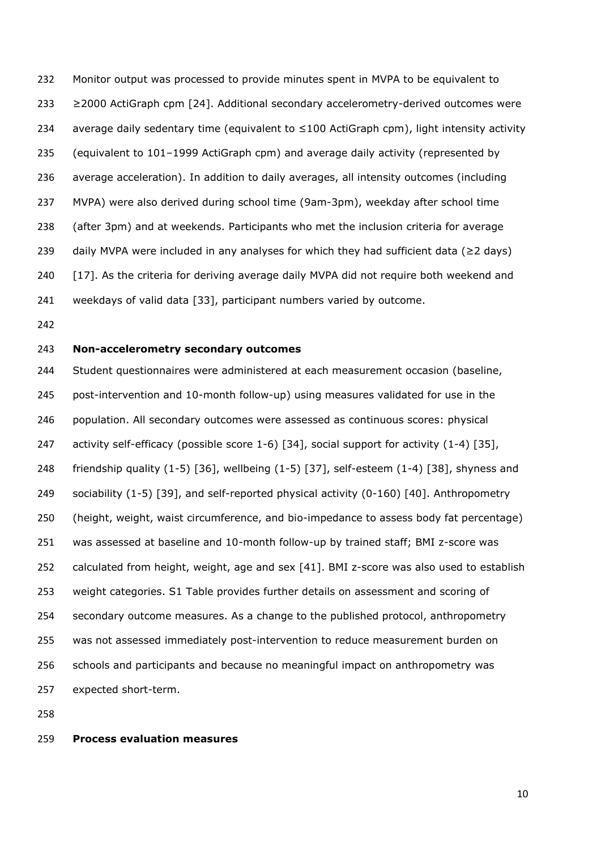Monitor output was processed to provide minutes spent in MVPA to be equivalent to ≥2000 ActiGraph cpm [\[24\]](#page-29-11). Additional secondary accelerometry-derived outcomes were 234 average daily sedentary time (equivalent to  $\leq$ 100 ActiGraph cpm), light intensity activity (equivalent to 101–1999 ActiGraph cpm) and average daily activity (represented by average acceleration). In addition to daily averages, all intensity outcomes (including MVPA) were also derived during school time (9am-3pm), weekday after school time (after 3pm) and at weekends. Participants who met the inclusion criteria for average 239 daily MVPA were included in any analyses for which they had sufficient data ( $\geq$ 2 days) [\[17\]](#page-29-4). As the criteria for deriving average daily MVPA did not require both weekend and weekdays of valid data [\[33\]](#page-30-4), participant numbers varied by outcome.

# **Non-accelerometry secondary outcomes**

 Student questionnaires were administered at each measurement occasion (baseline, post-intervention and 10-month follow-up) using measures validated for use in the population. All secondary outcomes were assessed as continuous scores: physical 247 activity self-efficacy (possible score 1-6) [\[34\]](#page-30-5), social support for activity (1-4) [\[35\]](#page-30-6), friendship quality (1-5) [\[36\]](#page-30-7), wellbeing (1-5) [\[37\]](#page-30-8), self-esteem (1-4) [\[38\]](#page-30-9), shyness and sociability (1-5) [\[39\]](#page-30-10), and self-reported physical activity (0-160) [\[40\]](#page-30-11). Anthropometry (height, weight, waist circumference, and bio-impedance to assess body fat percentage) was assessed at baseline and 10-month follow-up by trained staff; BMI z-score was calculated from height, weight, age and sex [\[41\]](#page-30-12). BMI z-score was also used to establish weight categories. S1 Table provides further details on assessment and scoring of secondary outcome measures. As a change to the published protocol, anthropometry was not assessed immediately post-intervention to reduce measurement burden on schools and participants and because no meaningful impact on anthropometry was expected short-term.

#### **Process evaluation measures**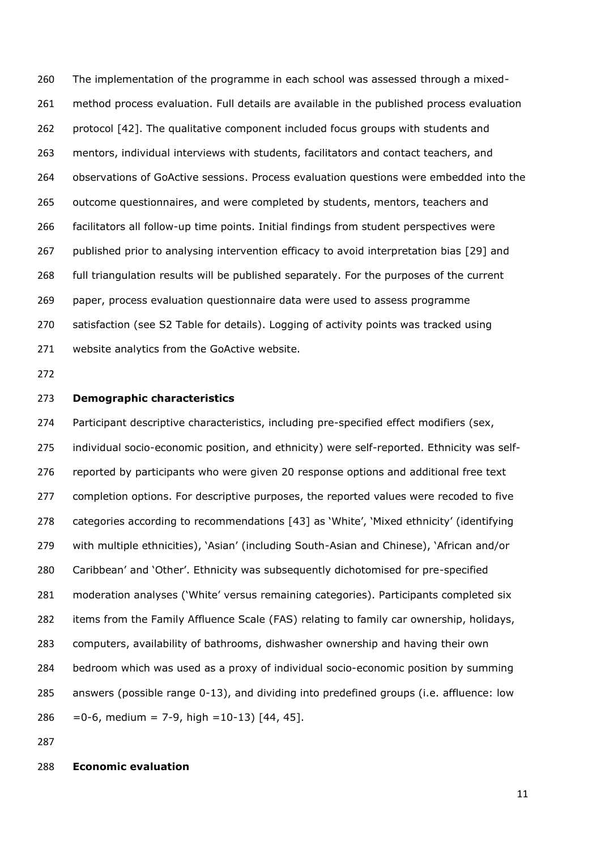The implementation of the programme in each school was assessed through a mixed- method process evaluation. Full details are available in the published process evaluation protocol [\[42\]](#page-30-13). The qualitative component included focus groups with students and mentors, individual interviews with students, facilitators and contact teachers, and observations of GoActive sessions. Process evaluation questions were embedded into the outcome questionnaires, and were completed by students, mentors, teachers and facilitators all follow-up time points. Initial findings from student perspectives were published prior to analysing intervention efficacy to avoid interpretation bias [\[29\]](#page-30-0) and full triangulation results will be published separately. For the purposes of the current paper, process evaluation questionnaire data were used to assess programme satisfaction (see S2 Table for details). Logging of activity points was tracked using website analytics from the GoActive website.

#### **Demographic characteristics**

 Participant descriptive characteristics, including pre-specified effect modifiers (sex, individual socio-economic position, and ethnicity) were self-reported. Ethnicity was self- reported by participants who were given 20 response options and additional free text completion options. For descriptive purposes, the reported values were recoded to five categories according to recommendations [\[43\]](#page-30-14) as 'White', 'Mixed ethnicity' (identifying with multiple ethnicities), 'Asian' (including South-Asian and Chinese), 'African and/or Caribbean' and 'Other'. Ethnicity was subsequently dichotomised for pre-specified moderation analyses ('White' versus remaining categories). Participants completed six items from the Family Affluence Scale (FAS) relating to family car ownership, holidays, computers, availability of bathrooms, dishwasher ownership and having their own bedroom which was used as a proxy of individual socio-economic position by summing answers (possible range 0-13), and dividing into predefined groups (i.e. affluence: low 286 = 0-6, medium = 7-9, high =  $10-13$ ) [\[44,](#page-30-15) [45\]](#page-31-0).

## **Economic evaluation**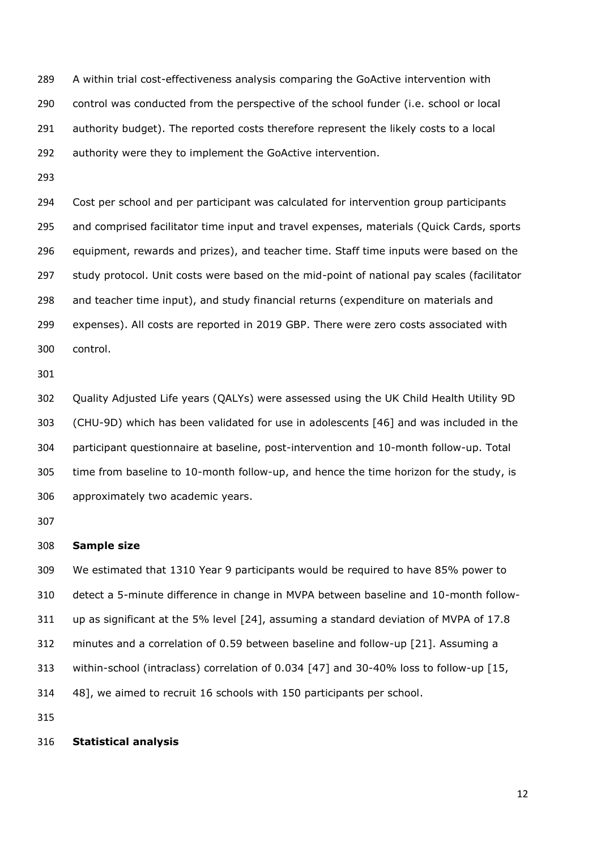A within trial cost-effectiveness analysis comparing the GoActive intervention with control was conducted from the perspective of the school funder (i.e. school or local authority budget). The reported costs therefore represent the likely costs to a local authority were they to implement the GoActive intervention.

 Cost per school and per participant was calculated for intervention group participants and comprised facilitator time input and travel expenses, materials (Quick Cards, sports equipment, rewards and prizes), and teacher time. Staff time inputs were based on the 297 study protocol. Unit costs were based on the mid-point of national pay scales (facilitator and teacher time input), and study financial returns (expenditure on materials and expenses). All costs are reported in 2019 GBP. There were zero costs associated with control.

 Quality Adjusted Life years (QALYs) were assessed using the UK Child Health Utility 9D (CHU-9D) which has been validated for use in adolescents [\[46\]](#page-31-1) and was included in the participant questionnaire at baseline, post-intervention and 10-month follow-up. Total time from baseline to 10-month follow-up, and hence the time horizon for the study, is approximately two academic years.

### **Sample size**

 We estimated that 1310 Year 9 participants would be required to have 85% power to detect a 5-minute difference in change in MVPA between baseline and 10-month follow- up as significant at the 5% level [\[24\]](#page-29-11), assuming a standard deviation of MVPA of 17.8 minutes and a correlation of 0.59 between baseline and follow-up [\[21\]](#page-29-8). Assuming a within-school (intraclass) correlation of 0.034 [\[47\]](#page-31-2) and 30-40% loss to follow-up [\[15,](#page-29-2) [48\]](#page-31-3), we aimed to recruit 16 schools with 150 participants per school.

## **Statistical analysis**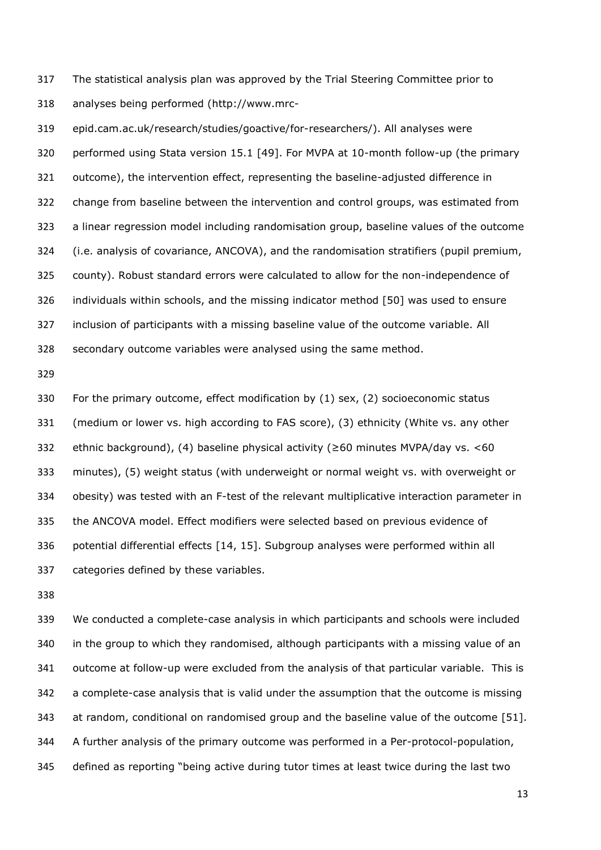The statistical analysis plan was approved by the Trial Steering Committee prior to analyses being performed (http://www.mrc-

 epid.cam.ac.uk/research/studies/goactive/for-researchers/). All analyses were performed using Stata version 15.1 [\[49\]](#page-31-4). For MVPA at 10-month follow-up (the primary outcome), the intervention effect, representing the baseline-adjusted difference in change from baseline between the intervention and control groups, was estimated from a linear regression model including randomisation group, baseline values of the outcome (i.e. analysis of covariance, ANCOVA), and the randomisation stratifiers (pupil premium, county). Robust standard errors were calculated to allow for the non-independence of individuals within schools, and the missing indicator method [\[50\]](#page-31-5) was used to ensure inclusion of participants with a missing baseline value of the outcome variable. All secondary outcome variables were analysed using the same method.

 For the primary outcome, effect modification by (1) sex, (2) socioeconomic status (medium or lower vs. high according to FAS score), (3) ethnicity (White vs. any other ethnic background), (4) baseline physical activity (≥60 minutes MVPA/day vs. <60 minutes), (5) weight status (with underweight or normal weight vs. with overweight or obesity) was tested with an F-test of the relevant multiplicative interaction parameter in the ANCOVA model. Effect modifiers were selected based on previous evidence of potential differential effects [\[14,](#page-29-1) [15\]](#page-29-2). Subgroup analyses were performed within all categories defined by these variables.

 We conducted a complete-case analysis in which participants and schools were included in the group to which they randomised, although participants with a missing value of an outcome at follow-up were excluded from the analysis of that particular variable. This is a complete-case analysis that is valid under the assumption that the outcome is missing at random, conditional on randomised group and the baseline value of the outcome [\[51\]](#page-31-6). A further analysis of the primary outcome was performed in a Per-protocol-population, defined as reporting "being active during tutor times at least twice during the last two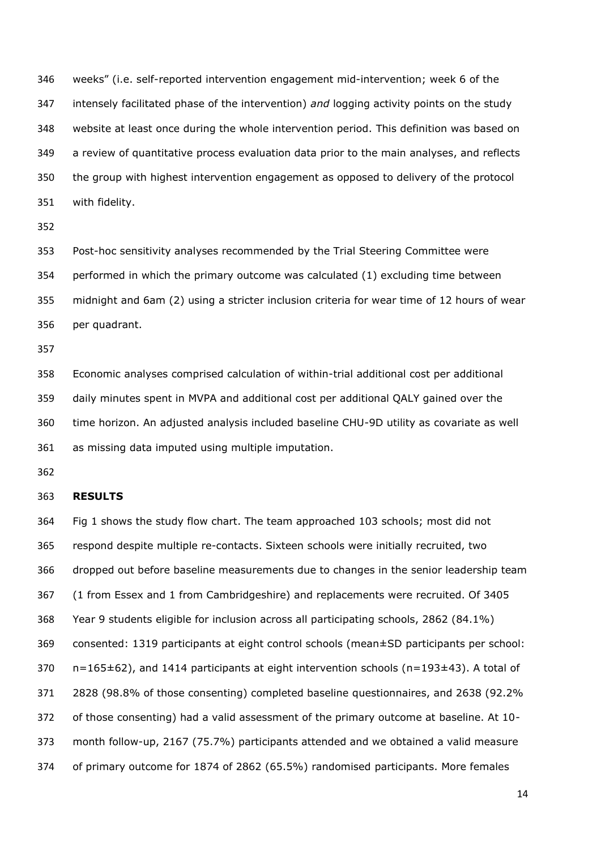weeks" (i.e. self-reported intervention engagement mid-intervention; week 6 of the intensely facilitated phase of the intervention) *and* logging activity points on the study website at least once during the whole intervention period. This definition was based on a review of quantitative process evaluation data prior to the main analyses, and reflects the group with highest intervention engagement as opposed to delivery of the protocol with fidelity.

 Post-hoc sensitivity analyses recommended by the Trial Steering Committee were performed in which the primary outcome was calculated (1) excluding time between midnight and 6am (2) using a stricter inclusion criteria for wear time of 12 hours of wear per quadrant.

 Economic analyses comprised calculation of within-trial additional cost per additional daily minutes spent in MVPA and additional cost per additional QALY gained over the time horizon. An adjusted analysis included baseline CHU-9D utility as covariate as well as missing data imputed using multiple imputation.

#### **RESULTS**

 Fig 1 shows the study flow chart. The team approached 103 schools; most did not respond despite multiple re-contacts. Sixteen schools were initially recruited, two dropped out before baseline measurements due to changes in the senior leadership team (1 from Essex and 1 from Cambridgeshire) and replacements were recruited. Of 3405 Year 9 students eligible for inclusion across all participating schools, 2862 (84.1%) consented: 1319 participants at eight control schools (mean±SD participants per school: n=165 $\pm$ 62), and 1414 participants at eight intervention schools (n=193 $\pm$ 43). A total of 2828 (98.8% of those consenting) completed baseline questionnaires, and 2638 (92.2% of those consenting) had a valid assessment of the primary outcome at baseline. At 10- month follow-up, 2167 (75.7%) participants attended and we obtained a valid measure of primary outcome for 1874 of 2862 (65.5%) randomised participants. More females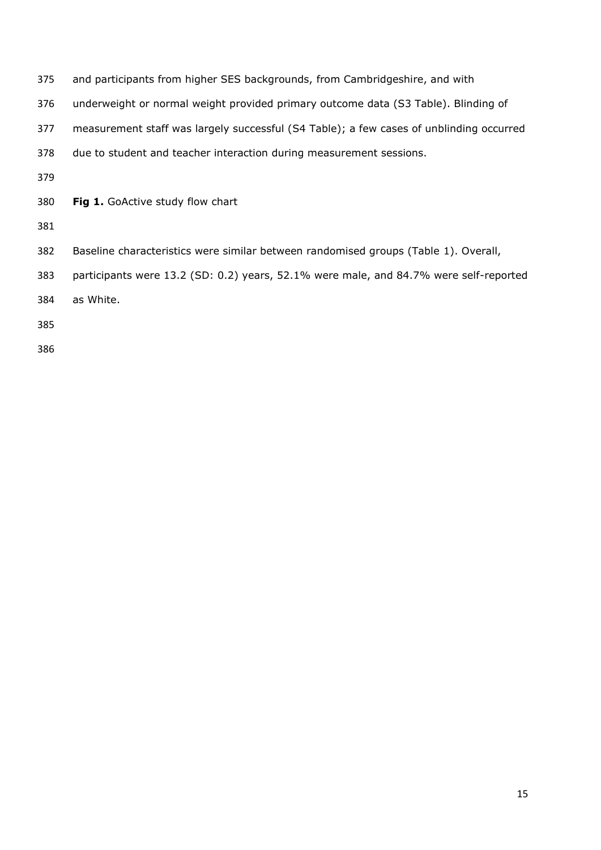| 375 | and participants from higher SES backgrounds, from Cambridgeshire, and with             |
|-----|-----------------------------------------------------------------------------------------|
| 376 | underweight or normal weight provided primary outcome data (S3 Table). Blinding of      |
| 377 | measurement staff was largely successful (S4 Table); a few cases of unblinding occurred |
| 378 | due to student and teacher interaction during measurement sessions.                     |
| 379 |                                                                                         |
| 380 | Fig 1. GoActive study flow chart                                                        |
| 381 |                                                                                         |
| 382 | Baseline characteristics were similar between randomised groups (Table 1). Overall,     |
| 383 | participants were 13.2 (SD: 0.2) years, 52.1% were male, and 84.7% were self-reported   |
| 384 | as White.                                                                               |
| 385 |                                                                                         |
| 386 |                                                                                         |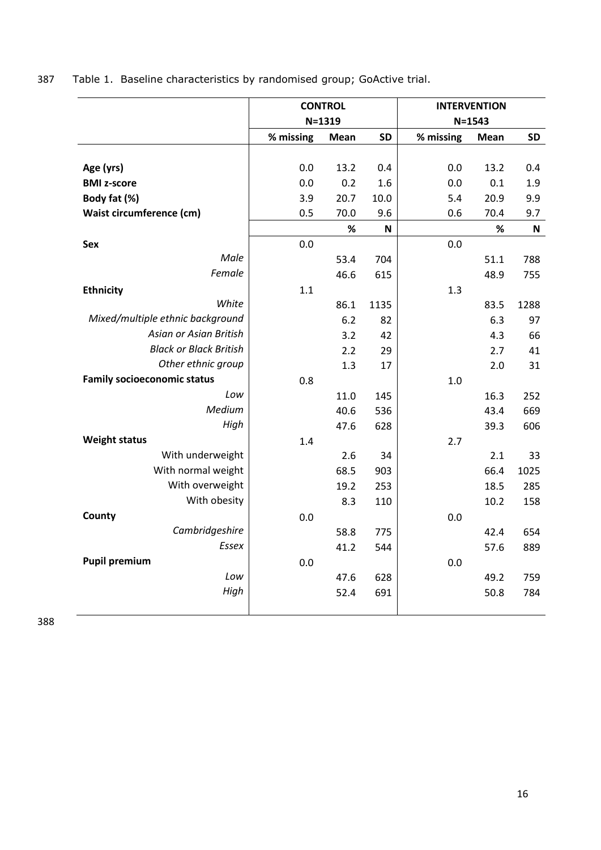| 387 |  | Table 1. Baseline characteristics by randomised group; GoActive trial. |  |  |  |
|-----|--|------------------------------------------------------------------------|--|--|--|
|-----|--|------------------------------------------------------------------------|--|--|--|

|                                    | <b>CONTROL</b> |             |             | <b>INTERVENTION</b> |             |             |  |
|------------------------------------|----------------|-------------|-------------|---------------------|-------------|-------------|--|
|                                    | $N = 1319$     |             |             | $N = 1543$          |             |             |  |
|                                    | % missing      | <b>Mean</b> | <b>SD</b>   | % missing           | <b>Mean</b> | <b>SD</b>   |  |
|                                    |                |             |             |                     |             |             |  |
| Age (yrs)                          | 0.0            | 13.2        | 0.4         | 0.0                 | 13.2        | 0.4         |  |
| <b>BMI z-score</b>                 | 0.0            | 0.2         | 1.6         | 0.0                 | 0.1         | 1.9         |  |
| Body fat (%)                       | 3.9            | 20.7        | 10.0        | 5.4                 | 20.9        | 9.9         |  |
| Waist circumference (cm)           | 0.5            | 70.0        | 9.6         | 0.6                 | 70.4        | 9.7         |  |
|                                    |                | %           | $\mathsf N$ |                     | $\%$        | $\mathbf N$ |  |
| <b>Sex</b>                         | 0.0            |             |             | 0.0                 |             |             |  |
| Male                               |                | 53.4        | 704         |                     | 51.1        | 788         |  |
| Female                             |                | 46.6        | 615         |                     | 48.9        | 755         |  |
| <b>Ethnicity</b>                   | 1.1            |             |             | 1.3                 |             |             |  |
| White                              |                | 86.1        | 1135        |                     | 83.5        | 1288        |  |
| Mixed/multiple ethnic background   |                | 6.2         | 82          |                     | 6.3         | 97          |  |
| Asian or Asian British             |                | 3.2         | 42          |                     | 4.3         | 66          |  |
| <b>Black or Black British</b>      |                | 2.2         | 29          |                     | 2.7         | 41          |  |
| Other ethnic group                 |                | 1.3         | 17          |                     | 2.0         | 31          |  |
| <b>Family socioeconomic status</b> | 0.8            |             |             | 1.0                 |             |             |  |
| Low                                |                | 11.0        | 145         |                     | 16.3        | 252         |  |
| Medium                             |                | 40.6        | 536         |                     | 43.4        | 669         |  |
| High                               |                | 47.6        | 628         |                     | 39.3        | 606         |  |
| <b>Weight status</b>               | 1.4            |             |             | 2.7                 |             |             |  |
| With underweight                   |                | 2.6         | 34          |                     | 2.1         | 33          |  |
| With normal weight                 |                | 68.5        | 903         |                     | 66.4        | 1025        |  |
| With overweight                    |                | 19.2        | 253         |                     | 18.5        | 285         |  |
| With obesity                       |                | 8.3         | 110         |                     | 10.2        | 158         |  |
| County                             | 0.0            |             |             | 0.0                 |             |             |  |
| Cambridgeshire                     |                | 58.8        | 775         |                     | 42.4        | 654         |  |
| Essex                              |                | 41.2        | 544         |                     | 57.6        | 889         |  |
| <b>Pupil premium</b>               | 0.0            |             |             | 0.0                 |             |             |  |
| Low                                |                | 47.6        | 628         |                     | 49.2        | 759         |  |
| High                               |                | 52.4        | 691         |                     | 50.8        | 784         |  |
|                                    |                |             |             |                     |             |             |  |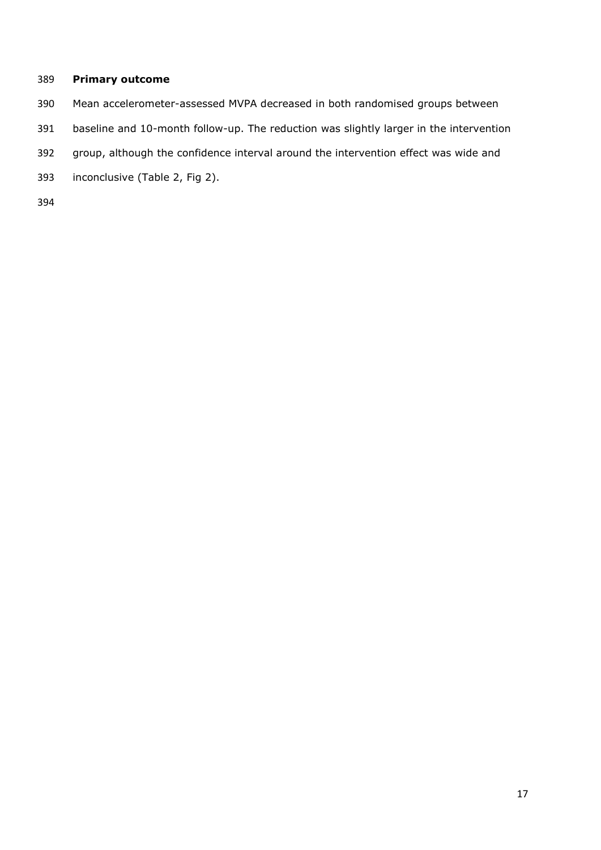# **Primary outcome**

- Mean accelerometer-assessed MVPA decreased in both randomised groups between
- baseline and 10-month follow-up. The reduction was slightly larger in the intervention
- group, although the confidence interval around the intervention effect was wide and
- inconclusive (Table 2, Fig 2).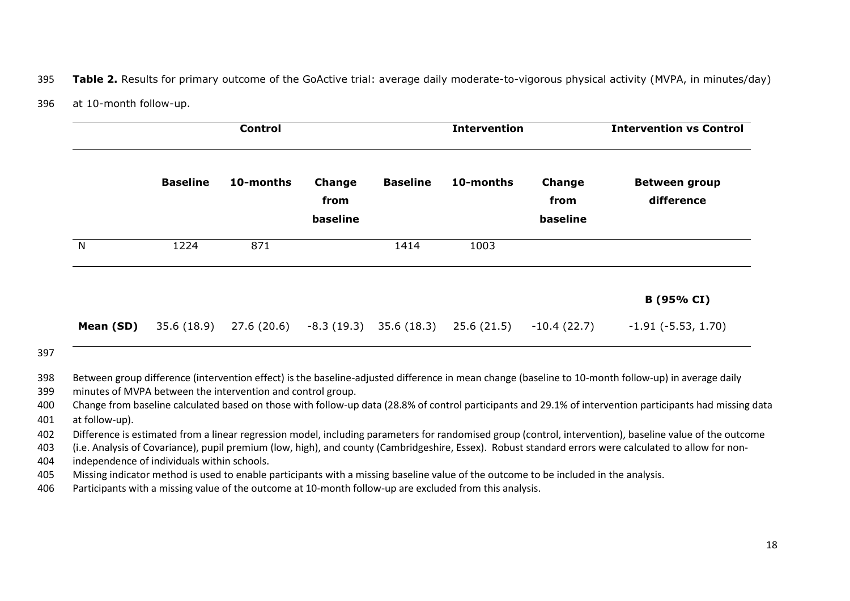395 **Table 2.** Results for primary outcome of the GoActive trial: average daily moderate-to-vigorous physical activity (MVPA, in minutes/day)

396 at 10-month follow-up.

|           |                 | <b>Control</b> |                                   |                 | <b>Intervention</b> |                            | <b>Intervention vs Control</b>     |
|-----------|-----------------|----------------|-----------------------------------|-----------------|---------------------|----------------------------|------------------------------------|
|           | <b>Baseline</b> | 10-months      | <b>Change</b><br>from<br>baseline | <b>Baseline</b> | 10-months           | Change<br>from<br>baseline | <b>Between group</b><br>difference |
| N         | 1224            | 871            |                                   | 1414            | 1003                |                            |                                    |
|           |                 |                |                                   |                 |                     |                            | B (95% CI)                         |
| Mean (SD) | 35.6 (18.9)     | 27.6 (20.6)    | -8.3 (19.3)                       | 35.6 (18.3)     | 25.6 (21.5)         | $-10.4(22.7)$              | $-1.91$ ( $-5.53$ , 1.70)          |

397

398 Between group difference (intervention effect) is the baseline-adjusted difference in mean change (baseline to 10-month follow-up) in average daily

399 minutes of MVPA between the intervention and control group.

400 Change from baseline calculated based on those with follow-up data (28.8% of control participants and 29.1% of intervention participants had missing data

401 at follow-up).

402 Difference is estimated from a linear regression model, including parameters for randomised group (control, intervention), baseline value of the outcome

403 (i.e. Analysis of Covariance), pupil premium (low, high), and county (Cambridgeshire, Essex). Robust standard errors were calculated to allow for non-

404 independence of individuals within schools.

405 Missing indicator method is used to enable participants with a missing baseline value of the outcome to be included in the analysis.

406 Participants with a missing value of the outcome at 10-month follow-up are excluded from this analysis.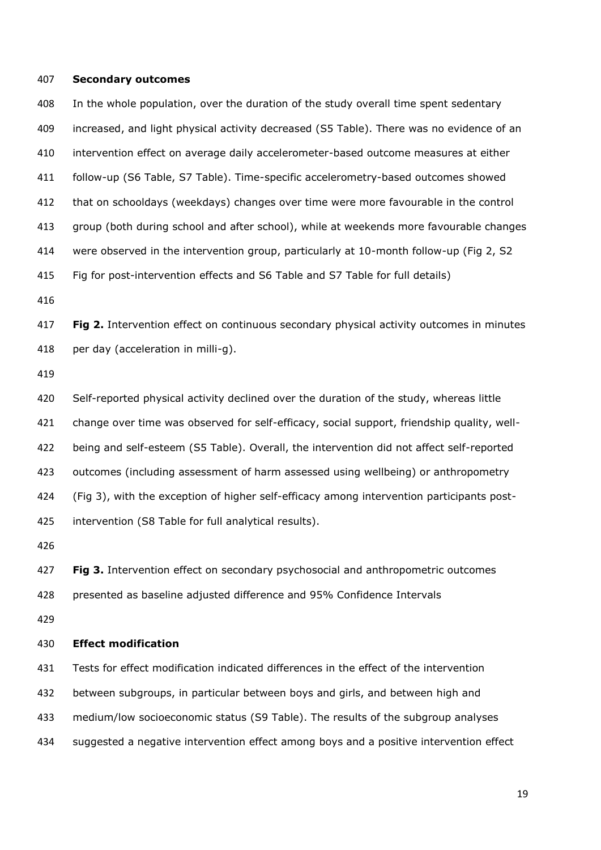#### **Secondary outcomes**

 In the whole population, over the duration of the study overall time spent sedentary increased, and light physical activity decreased (S5 Table). There was no evidence of an intervention effect on average daily accelerometer-based outcome measures at either follow-up (S6 Table, S7 Table). Time-specific accelerometry-based outcomes showed that on schooldays (weekdays) changes over time were more favourable in the control group (both during school and after school), while at weekends more favourable changes were observed in the intervention group, particularly at 10-month follow-up (Fig 2, S2 Fig for post-intervention effects and S6 Table and S7 Table for full details)

 **Fig 2.** Intervention effect on continuous secondary physical activity outcomes in minutes per day (acceleration in milli-g).

 Self-reported physical activity declined over the duration of the study, whereas little change over time was observed for self-efficacy, social support, friendship quality, well- being and self-esteem (S5 Table). Overall, the intervention did not affect self-reported outcomes (including assessment of harm assessed using wellbeing) or anthropometry (Fig 3), with the exception of higher self-efficacy among intervention participants post-intervention (S8 Table for full analytical results).

**Fig 3.** Intervention effect on secondary psychosocial and anthropometric outcomes

presented as baseline adjusted difference and 95% Confidence Intervals

#### **Effect modification**

Tests for effect modification indicated differences in the effect of the intervention

between subgroups, in particular between boys and girls, and between high and

medium/low socioeconomic status (S9 Table). The results of the subgroup analyses

suggested a negative intervention effect among boys and a positive intervention effect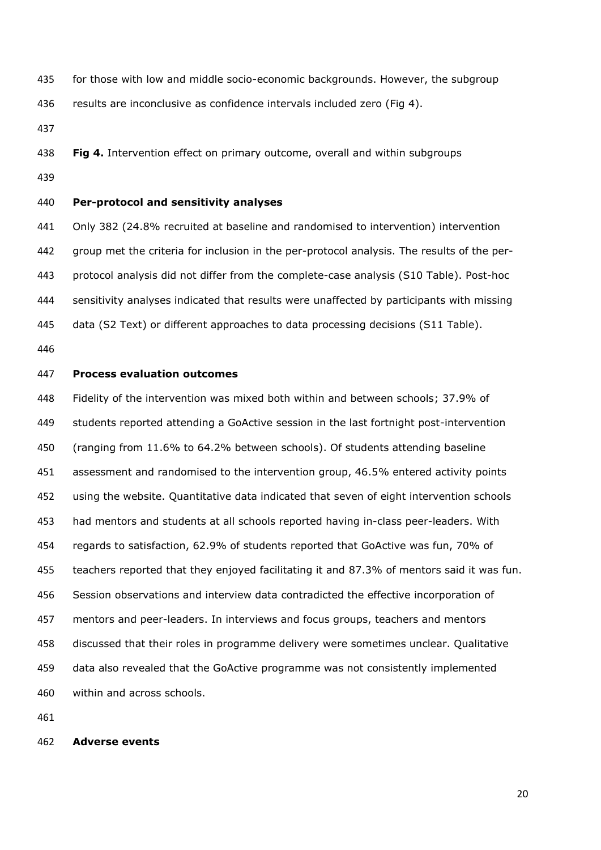for those with low and middle socio-economic backgrounds. However, the subgroup

results are inconclusive as confidence intervals included zero (Fig 4).

**Fig 4.** Intervention effect on primary outcome, overall and within subgroups

## **Per-protocol and sensitivity analyses**

 Only 382 (24.8% recruited at baseline and randomised to intervention) intervention group met the criteria for inclusion in the per-protocol analysis. The results of the per- protocol analysis did not differ from the complete-case analysis (S10 Table). Post-hoc sensitivity analyses indicated that results were unaffected by participants with missing data (S2 Text) or different approaches to data processing decisions (S11 Table).

## **Process evaluation outcomes**

 Fidelity of the intervention was mixed both within and between schools; 37.9% of students reported attending a GoActive session in the last fortnight post-intervention (ranging from 11.6% to 64.2% between schools). Of students attending baseline assessment and randomised to the intervention group, 46.5% entered activity points using the website. Quantitative data indicated that seven of eight intervention schools had mentors and students at all schools reported having in-class peer-leaders. With regards to satisfaction, 62.9% of students reported that GoActive was fun, 70% of teachers reported that they enjoyed facilitating it and 87.3% of mentors said it was fun. Session observations and interview data contradicted the effective incorporation of mentors and peer-leaders. In interviews and focus groups, teachers and mentors discussed that their roles in programme delivery were sometimes unclear. Qualitative data also revealed that the GoActive programme was not consistently implemented within and across schools.

#### **Adverse events**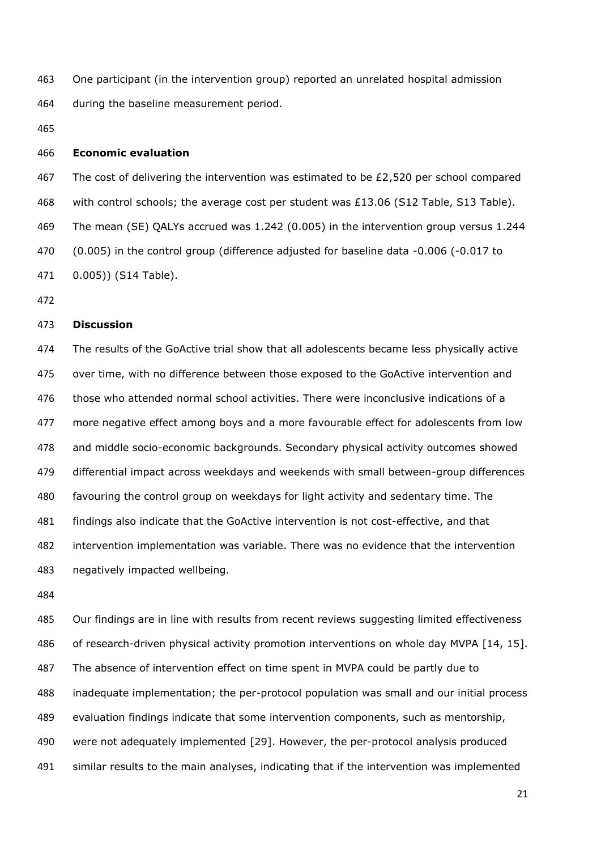One participant (in the intervention group) reported an unrelated hospital admission during the baseline measurement period.

## **Economic evaluation**

467 The cost of delivering the intervention was estimated to be  $E2,520$  per school compared 468 with control schools; the average cost per student was  $£13.06$  (S12 Table, S13 Table). The mean (SE) QALYs accrued was 1.242 (0.005) in the intervention group versus 1.244 (0.005) in the control group (difference adjusted for baseline data -0.006 (-0.017 to 0.005)) (S14 Table).

## **Discussion**

 The results of the GoActive trial show that all adolescents became less physically active over time, with no difference between those exposed to the GoActive intervention and those who attended normal school activities. There were inconclusive indications of a more negative effect among boys and a more favourable effect for adolescents from low and middle socio-economic backgrounds. Secondary physical activity outcomes showed differential impact across weekdays and weekends with small between-group differences favouring the control group on weekdays for light activity and sedentary time. The findings also indicate that the GoActive intervention is not cost-effective, and that intervention implementation was variable. There was no evidence that the intervention negatively impacted wellbeing.

485 Our findings are in line with results from recent reviews suggesting limited effectiveness 486 of research-driven physical activity promotion interventions on whole day MVPA [\[14,](#page-29-1) [15\]](#page-29-2). The absence of intervention effect on time spent in MVPA could be partly due to inadequate implementation; the per-protocol population was small and our initial process evaluation findings indicate that some intervention components, such as mentorship, were not adequately implemented [\[29\]](#page-30-0). However, the per-protocol analysis produced similar results to the main analyses, indicating that if the intervention was implemented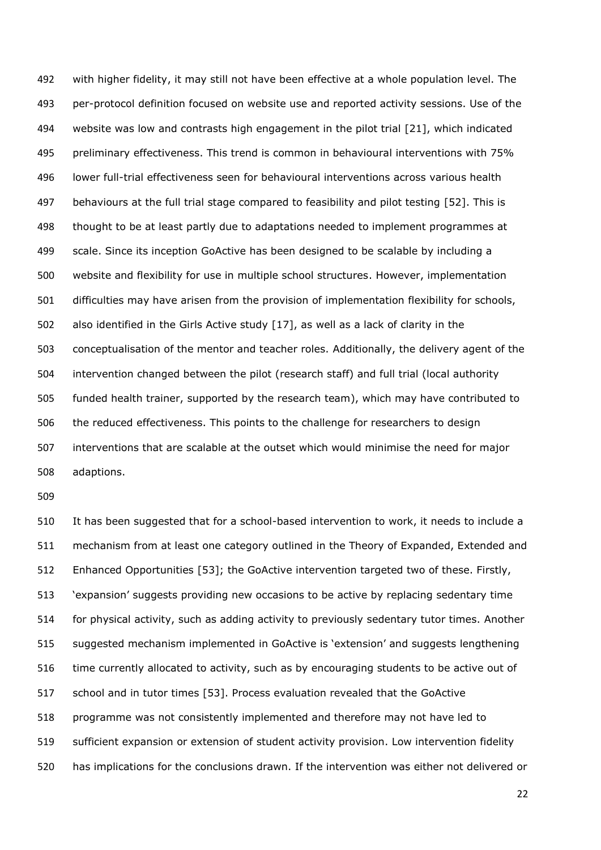with higher fidelity, it may still not have been effective at a whole population level. The per-protocol definition focused on website use and reported activity sessions. Use of the website was low and contrasts high engagement in the pilot trial [\[21\]](#page-29-8), which indicated preliminary effectiveness. This trend is common in behavioural interventions with 75% lower full-trial effectiveness seen for behavioural interventions across various health behaviours at the full trial stage compared to feasibility and pilot testing [\[52\]](#page-31-7). This is thought to be at least partly due to adaptations needed to implement programmes at scale. Since its inception GoActive has been designed to be scalable by including a website and flexibility for use in multiple school structures. However, implementation difficulties may have arisen from the provision of implementation flexibility for schools, also identified in the Girls Active study [\[17\]](#page-29-4), as well as a lack of clarity in the conceptualisation of the mentor and teacher roles. Additionally, the delivery agent of the intervention changed between the pilot (research staff) and full trial (local authority funded health trainer, supported by the research team), which may have contributed to the reduced effectiveness. This points to the challenge for researchers to design interventions that are scalable at the outset which would minimise the need for major adaptions.

 It has been suggested that for a school-based intervention to work, it needs to include a mechanism from at least one category outlined in the Theory of Expanded, Extended and Enhanced Opportunities [\[53\]](#page-31-8); the GoActive intervention targeted two of these. Firstly, 'expansion' suggests providing new occasions to be active by replacing sedentary time for physical activity, such as adding activity to previously sedentary tutor times. Another suggested mechanism implemented in GoActive is 'extension' and suggests lengthening time currently allocated to activity, such as by encouraging students to be active out of school and in tutor times [\[53\]](#page-31-8). Process evaluation revealed that the GoActive programme was not consistently implemented and therefore may not have led to sufficient expansion or extension of student activity provision. Low intervention fidelity has implications for the conclusions drawn. If the intervention was either not delivered or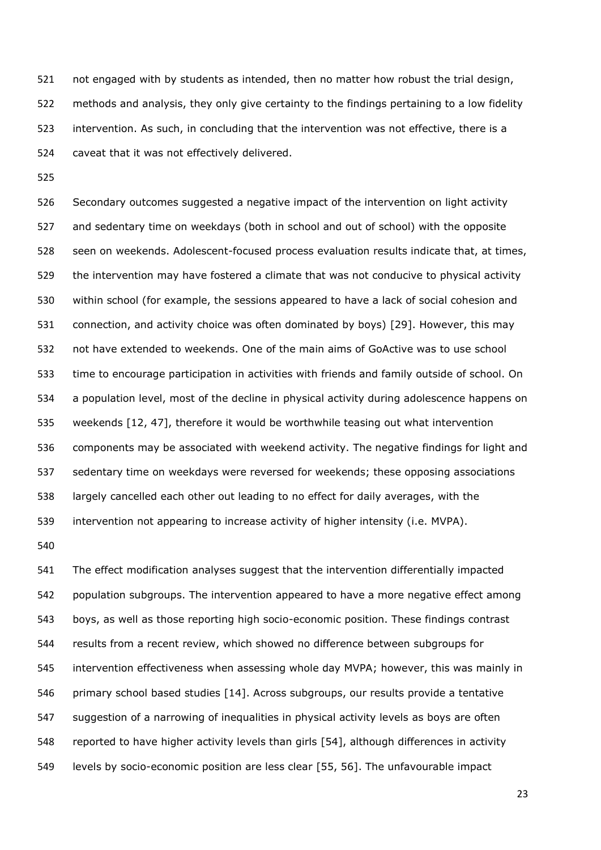not engaged with by students as intended, then no matter how robust the trial design, methods and analysis, they only give certainty to the findings pertaining to a low fidelity intervention. As such, in concluding that the intervention was not effective, there is a caveat that it was not effectively delivered.

 Secondary outcomes suggested a negative impact of the intervention on light activity and sedentary time on weekdays (both in school and out of school) with the opposite seen on weekends. Adolescent-focused process evaluation results indicate that, at times, the intervention may have fostered a climate that was not conducive to physical activity within school (for example, the sessions appeared to have a lack of social cohesion and connection, and activity choice was often dominated by boys) [\[29\]](#page-30-0). However, this may not have extended to weekends. One of the main aims of GoActive was to use school time to encourage participation in activities with friends and family outside of school. On a population level, most of the decline in physical activity during adolescence happens on weekends [\[12,](#page-28-6) [47\]](#page-31-2), therefore it would be worthwhile teasing out what intervention components may be associated with weekend activity. The negative findings for light and sedentary time on weekdays were reversed for weekends; these opposing associations largely cancelled each other out leading to no effect for daily averages, with the intervention not appearing to increase activity of higher intensity (i.e. MVPA).

 The effect modification analyses suggest that the intervention differentially impacted population subgroups. The intervention appeared to have a more negative effect among boys, as well as those reporting high socio-economic position. These findings contrast results from a recent review, which showed no difference between subgroups for intervention effectiveness when assessing whole day MVPA; however, this was mainly in 546 primary school based studies [\[14\]](#page-29-1). Across subgroups, our results provide a tentative suggestion of a narrowing of inequalities in physical activity levels as boys are often reported to have higher activity levels than girls [\[54\]](#page-31-9), although differences in activity levels by socio-economic position are less clear [\[55,](#page-31-10) [56\]](#page-31-11). The unfavourable impact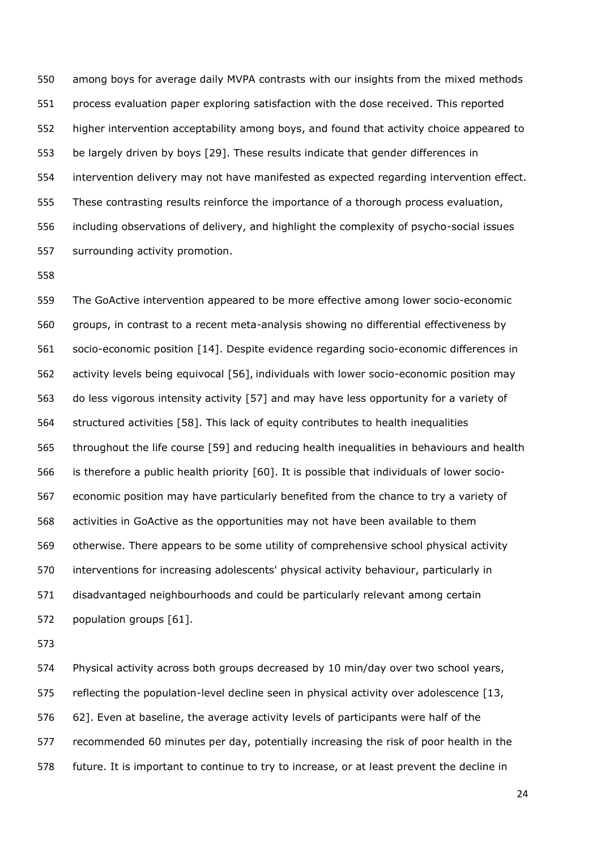among boys for average daily MVPA contrasts with our insights from the mixed methods process evaluation paper exploring satisfaction with the dose received. This reported higher intervention acceptability among boys, and found that activity choice appeared to be largely driven by boys [\[29\]](#page-30-0). These results indicate that gender differences in intervention delivery may not have manifested as expected regarding intervention effect. These contrasting results reinforce the importance of a thorough process evaluation, including observations of delivery, and highlight the complexity of psycho-social issues surrounding activity promotion.

 The GoActive intervention appeared to be more effective among lower socio-economic groups, in contrast to a recent meta-analysis showing no differential effectiveness by socio-economic position [\[14\]](#page-29-1). Despite evidence regarding socio-economic differences in activity levels being equivocal [\[56\]](#page-31-11), individuals with lower socio-economic position may do less vigorous intensity activity [\[57\]](#page-31-12) and may have less opportunity for a variety of structured activities [\[58\]](#page-31-13). This lack of equity contributes to health inequalities throughout the life course [\[59\]](#page-31-14) and reducing health inequalities in behaviours and health is therefore a public health priority [\[60\]](#page-31-15). It is possible that individuals of lower socio- economic position may have particularly benefited from the chance to try a variety of activities in GoActive as the opportunities may not have been available to them otherwise. There appears to be some utility of comprehensive school physical activity interventions for increasing adolescents' physical activity behaviour, particularly in disadvantaged neighbourhoods and could be particularly relevant among certain population groups [\[61\]](#page-31-16).

 Physical activity across both groups decreased by 10 min/day over two school years, 575 reflecting the population-level decline seen in physical activity over adolescence [\[13,](#page-29-0) [62\]](#page-32-0). Even at baseline, the average activity levels of participants were half of the recommended 60 minutes per day, potentially increasing the risk of poor health in the future. It is important to continue to try to increase, or at least prevent the decline in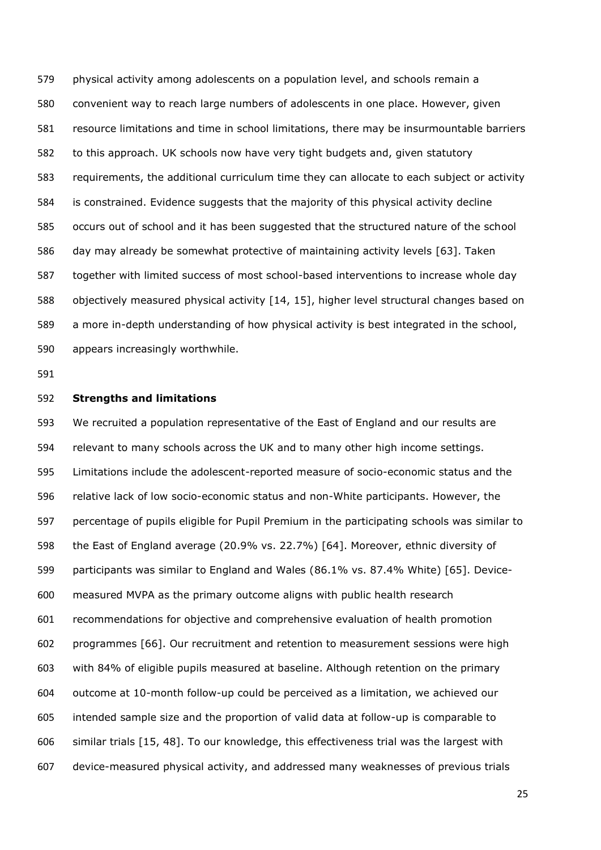physical activity among adolescents on a population level, and schools remain a convenient way to reach large numbers of adolescents in one place. However, given resource limitations and time in school limitations, there may be insurmountable barriers to this approach. UK schools now have very tight budgets and, given statutory requirements, the additional curriculum time they can allocate to each subject or activity is constrained. Evidence suggests that the majority of this physical activity decline occurs out of school and it has been suggested that the structured nature of the school day may already be somewhat protective of maintaining activity levels [\[63\]](#page-32-1). Taken together with limited success of most school-based interventions to increase whole day objectively measured physical activity [\[14,](#page-29-1) [15\]](#page-29-2), higher level structural changes based on a more in-depth understanding of how physical activity is best integrated in the school, appears increasingly worthwhile.

#### **Strengths and limitations**

 We recruited a population representative of the East of England and our results are relevant to many schools across the UK and to many other high income settings. Limitations include the adolescent-reported measure of socio-economic status and the relative lack of low socio-economic status and non-White participants. However, the percentage of pupils eligible for Pupil Premium in the participating schools was similar to the East of England average (20.9% vs. 22.7%) [\[64\]](#page-32-2). Moreover, ethnic diversity of participants was similar to England and Wales (86.1% vs. 87.4% White) [\[65\]](#page-32-3). Device- measured MVPA as the primary outcome aligns with public health research recommendations for objective and comprehensive evaluation of health promotion programmes [\[66\]](#page-32-4). Our recruitment and retention to measurement sessions were high with 84% of eligible pupils measured at baseline. Although retention on the primary outcome at 10-month follow-up could be perceived as a limitation, we achieved our intended sample size and the proportion of valid data at follow-up is comparable to similar trials [\[15,](#page-29-2) [48\]](#page-31-3). To our knowledge, this effectiveness trial was the largest with device-measured physical activity, and addressed many weaknesses of previous trials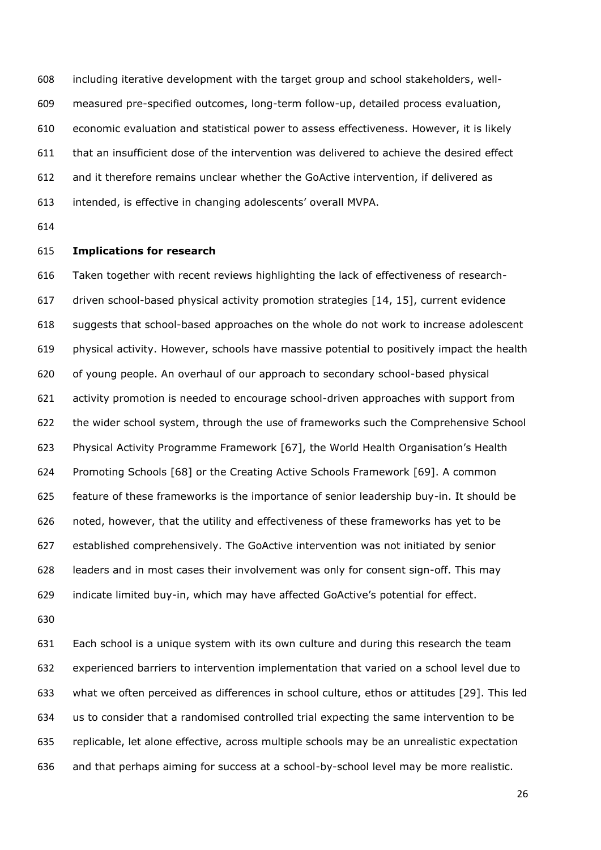including iterative development with the target group and school stakeholders, well- measured pre-specified outcomes, long-term follow-up, detailed process evaluation, economic evaluation and statistical power to assess effectiveness. However, it is likely that an insufficient dose of the intervention was delivered to achieve the desired effect and it therefore remains unclear whether the GoActive intervention, if delivered as intended, is effective in changing adolescents' overall MVPA.

## **Implications for research**

 Taken together with recent reviews highlighting the lack of effectiveness of research- driven school-based physical activity promotion strategies [\[14,](#page-29-1) [15\]](#page-29-2), current evidence suggests that school-based approaches on the whole do not work to increase adolescent physical activity. However, schools have massive potential to positively impact the health of young people. An overhaul of our approach to secondary school-based physical activity promotion is needed to encourage school-driven approaches with support from the wider school system, through the use of frameworks such the Comprehensive School Physical Activity Programme Framework [\[67\]](#page-32-5), the World Health Organisation's Health Promoting Schools [\[68\]](#page-32-6) or the Creating Active Schools Framework [\[69\]](#page-32-7). A common feature of these frameworks is the importance of senior leadership buy-in. It should be noted, however, that the utility and effectiveness of these frameworks has yet to be established comprehensively. The GoActive intervention was not initiated by senior leaders and in most cases their involvement was only for consent sign-off. This may indicate limited buy-in, which may have affected GoActive's potential for effect.

 Each school is a unique system with its own culture and during this research the team experienced barriers to intervention implementation that varied on a school level due to what we often perceived as differences in school culture, ethos or attitudes [\[29\]](#page-30-0). This led us to consider that a randomised controlled trial expecting the same intervention to be replicable, let alone effective, across multiple schools may be an unrealistic expectation and that perhaps aiming for success at a school-by-school level may be more realistic.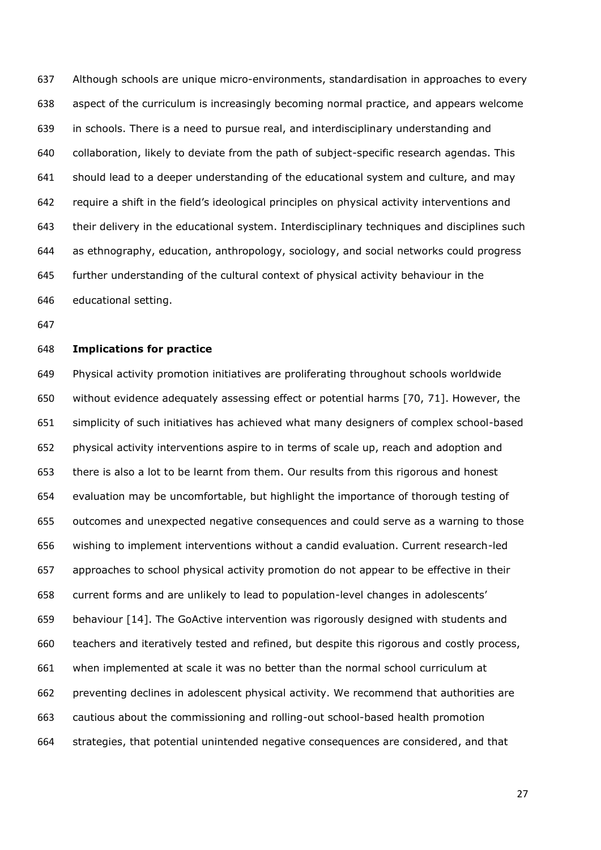Although schools are unique micro-environments, standardisation in approaches to every aspect of the curriculum is increasingly becoming normal practice, and appears welcome in schools. There is a need to pursue real, and interdisciplinary understanding and collaboration, likely to deviate from the path of subject-specific research agendas. This should lead to a deeper understanding of the educational system and culture, and may require a shift in the field's ideological principles on physical activity interventions and their delivery in the educational system. Interdisciplinary techniques and disciplines such as ethnography, education, anthropology, sociology, and social networks could progress further understanding of the cultural context of physical activity behaviour in the educational setting.

## **Implications for practice**

 Physical activity promotion initiatives are proliferating throughout schools worldwide without evidence adequately assessing effect or potential harms [\[70,](#page-32-8) [71\]](#page-32-9). However, the simplicity of such initiatives has achieved what many designers of complex school-based physical activity interventions aspire to in terms of scale up, reach and adoption and there is also a lot to be learnt from them. Our results from this rigorous and honest evaluation may be uncomfortable, but highlight the importance of thorough testing of outcomes and unexpected negative consequences and could serve as a warning to those wishing to implement interventions without a candid evaluation. Current research-led approaches to school physical activity promotion do not appear to be effective in their current forms and are unlikely to lead to population-level changes in adolescents' behaviour [\[14\]](#page-29-1). The GoActive intervention was rigorously designed with students and teachers and iteratively tested and refined, but despite this rigorous and costly process, when implemented at scale it was no better than the normal school curriculum at preventing declines in adolescent physical activity. We recommend that authorities are cautious about the commissioning and rolling-out school-based health promotion strategies, that potential unintended negative consequences are considered, and that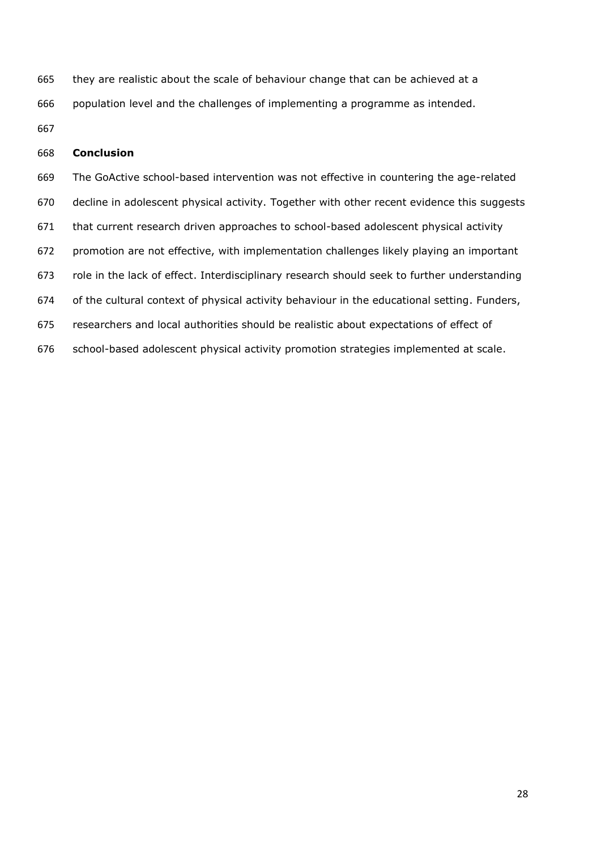they are realistic about the scale of behaviour change that can be achieved at a population level and the challenges of implementing a programme as intended.

# **Conclusion**

 The GoActive school-based intervention was not effective in countering the age-related decline in adolescent physical activity. Together with other recent evidence this suggests that current research driven approaches to school-based adolescent physical activity promotion are not effective, with implementation challenges likely playing an important role in the lack of effect. Interdisciplinary research should seek to further understanding of the cultural context of physical activity behaviour in the educational setting. Funders, researchers and local authorities should be realistic about expectations of effect of school-based adolescent physical activity promotion strategies implemented at scale.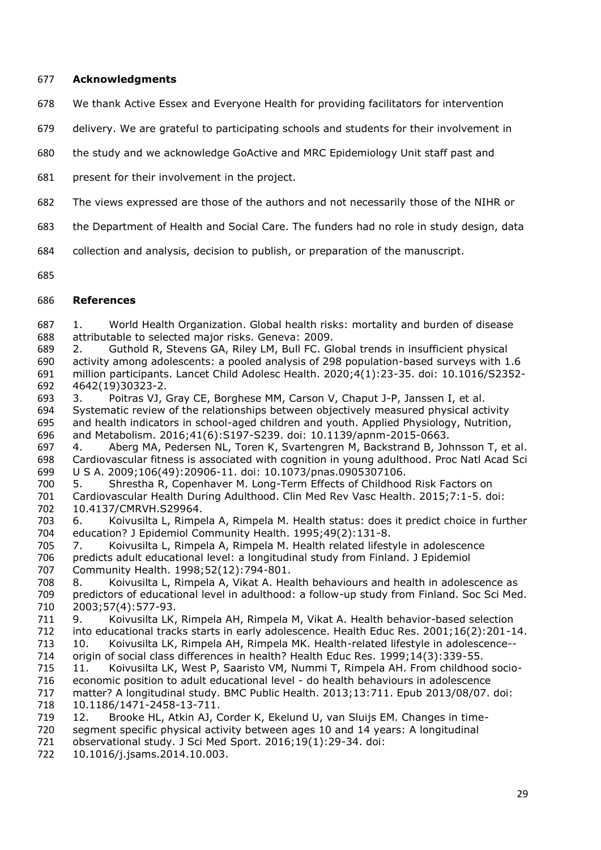# **Acknowledgments**

- We thank Active Essex and Everyone Health for providing facilitators for intervention
- delivery. We are grateful to participating schools and students for their involvement in
- the study and we acknowledge GoActive and MRC Epidemiology Unit staff past and
- present for their involvement in the project.
- The views expressed are those of the authors and not necessarily those of the NIHR or
- the Department of Health and Social Care. The funders had no role in study design, data
- collection and analysis, decision to publish, or preparation of the manuscript.
- 

# **References**

<span id="page-28-0"></span> 1. World Health Organization. Global health risks: mortality and burden of disease attributable to selected major risks. Geneva: 2009.

<span id="page-28-1"></span> 2. Guthold R, Stevens GA, Riley LM, Bull FC. Global trends in insufficient physical activity among adolescents: a pooled analysis of 298 population-based surveys with 1.6 million participants. Lancet Child Adolesc Health. 2020;4(1):23-35. doi: 10.1016/S2352- 4642(19)30323-2.

<span id="page-28-2"></span> 3. Poitras VJ, Gray CE, Borghese MM, Carson V, Chaput J-P, Janssen I, et al. Systematic review of the relationships between objectively measured physical activity and health indicators in school-aged children and youth. Applied Physiology, Nutrition, and Metabolism. 2016;41(6):S197-S239. doi: 10.1139/apnm-2015-0663.

<span id="page-28-3"></span>697 4. Aberg MA, Pedersen NL, Toren K, Svartengren M, Backstrand B, Johnsson T, et al.<br>698 Cardiovascular fitness is associated with cognition in young adulthood. Proc Natl Acad Sci Cardiovascular fitness is associated with cognition in young adulthood. Proc Natl Acad Sci U S A. 2009;106(49):20906-11. doi: 10.1073/pnas.0905307106.

<span id="page-28-4"></span> 5. Shrestha R, Copenhaver M. Long-Term Effects of Childhood Risk Factors on Cardiovascular Health During Adulthood. Clin Med Rev Vasc Health. 2015;7:1-5. doi: 10.4137/CMRVH.S29964.

<span id="page-28-5"></span> 6. Koivusilta L, Rimpela A, Rimpela M. Health status: does it predict choice in further 704 education? J Epidemiol Community Health. 1995;49(2):131-8.<br>705 7. Koivusilta L, Rimpela A, Rimpela M. Health related lifest

7. Koivusilta L, Rimpela A, Rimpela M. Health related lifestyle in adolescence 706 predicts adult educational level: a longitudinal study from Finland. J Epidemiol<br>707 Community Health. 1998;52(12):794-801.

707 Community Health. 1998; 52(12): 794-801.<br>708 8. Koivusilta L, Rimpela A, Vikat A. Hea 8. Koivusilta L, Rimpela A, Vikat A. Health behaviours and health in adolescence as predictors of educational level in adulthood: a follow-up study from Finland. Soc Sci Med. 2003;57(4):577-93.

9. Koivusilta LK, Rimpela AH, Rimpela M, Vikat A. Health behavior-based selection

into educational tracks starts in early adolescence. Health Educ Res. 2001;16(2):201-14.

- 713 10. Koivusilta LK, Rimpela AH, Rimpela MK. Health-related lifestyle in adolescence--<br>714 origin of social class differences in health? Health Educ Res. 1999;14(3):339-55. origin of social class differences in health? Health Educ Res. 1999;14(3):339-55.
- 11. Koivusilta LK, West P, Saaristo VM, Nummi T, Rimpela AH. From childhood socio-

 economic position to adult educational level - do health behaviours in adolescence matter? A longitudinal study. BMC Public Health. 2013;13:711. Epub 2013/08/07. doi: 10.1186/1471-2458-13-711.

- <span id="page-28-6"></span>12. Brooke HL, Atkin AJ, Corder K, Ekelund U, van Sluijs EM. Changes in time-
- segment specific physical activity between ages 10 and 14 years: A longitudinal observational study. J Sci Med Sport. 2016;19(1):29-34. doi:
- 10.1016/j.jsams.2014.10.003.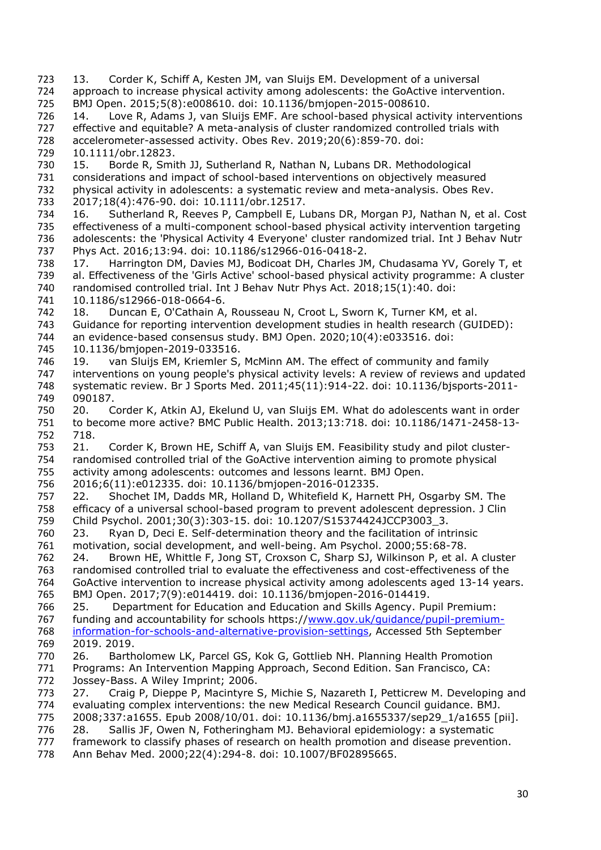- <span id="page-29-7"></span><span id="page-29-6"></span><span id="page-29-5"></span><span id="page-29-4"></span><span id="page-29-3"></span><span id="page-29-2"></span><span id="page-29-1"></span><span id="page-29-0"></span> 13. Corder K, Schiff A, Kesten JM, van Sluijs EM. Development of a universal approach to increase physical activity among adolescents: the GoActive intervention. BMJ Open. 2015;5(8):e008610. doi: 10.1136/bmjopen-2015-008610. 14. Love R, Adams J, van Sluijs EMF. Are school-based physical activity interventions 727 effective and equitable? A meta-analysis of cluster randomized controlled trials with<br>728 accelerometer-assessed activity. Obes Rev. 2019;20(6):859-70. doi: accelerometer-assessed activity. Obes Rev. 2019;20(6):859-70. doi: 10.1111/obr.12823. 15. Borde R, Smith JJ, Sutherland R, Nathan N, Lubans DR. Methodological considerations and impact of school-based interventions on objectively measured physical activity in adolescents: a systematic review and meta-analysis. Obes Rev. 2017;18(4):476-90. doi: 10.1111/obr.12517. 16. Sutherland R, Reeves P, Campbell E, Lubans DR, Morgan PJ, Nathan N, et al. Cost effectiveness of a multi-component school-based physical activity intervention targeting 736 adolescents: the 'Physical Activity 4 Everyone' cluster randomized trial. Int J Behav Nutr<br>737 Phys Act. 2016;13:94. doi: 10.1186/s12966-016-0418-2. Phys Act. 2016;13:94. doi: 10.1186/s12966-016-0418-2. 17. Harrington DM, Davies MJ, Bodicoat DH, Charles JM, Chudasama YV, Gorely T, et al. Effectiveness of the 'Girls Active' school-based physical activity programme: A cluster randomised controlled trial. Int J Behav Nutr Phys Act. 2018;15(1):40. doi: 10.1186/s12966-018-0664-6. 742 18. Duncan E, O'Cathain A, Rousseau N, Croot L, Sworn K, Turner KM, et al.<br>743 Guidance for reporting intervention development studies in health research (GU) Guidance for reporting intervention development studies in health research (GUIDED): 744 an evidence-based consensus study. BMJ Open. 2020;10(4):e033516. doi:<br>745 10.1136/bmjopen-2019-033516. 10.1136/bmjopen-2019-033516. 19. van Sluijs EM, Kriemler S, McMinn AM. The effect of community and family interventions on young people's physical activity levels: A review of reviews and updated systematic review. Br J Sports Med. 2011;45(11):914-22. doi: 10.1136/bjsports-2011- 090187. 20. Corder K, Atkin AJ, Ekelund U, van Sluijs EM. What do adolescents want in order to become more active? BMC Public Health. 2013;13:718. doi: 10.1186/1471-2458-13- 718. 21. Corder K, Brown HE, Schiff A, van Sluijs EM. Feasibility study and pilot cluster- randomised controlled trial of the GoActive intervention aiming to promote physical activity among adolescents: outcomes and lessons learnt. BMJ Open. 2016;6(11):e012335. doi: 10.1136/bmjopen-2016-012335. 22. Shochet IM, Dadds MR, Holland D, Whitefield K, Harnett PH, Osgarby SM. The efficacy of a universal school-based program to prevent adolescent depression. J Clin Child Psychol. 2001;30(3):303-15. doi: 10.1207/S15374424JCCP3003\_3. 23. Ryan D, Deci E. Self-determination theory and the facilitation of intrinsic motivation, social development, and well-being. Am Psychol. 2000;55:68-78. 24. Brown HE, Whittle F, Jong ST, Croxson C, Sharp SJ, Wilkinson P, et al. A cluster 763 randomised controlled trial to evaluate the effectiveness and cost-effectiveness of the<br>764 GoActive intervention to increase physical activity among adolescents aged 13-14 year GoActive intervention to increase physical activity among adolescents aged 13-14 years. BMJ Open. 2017;7(9):e014419. doi: 10.1136/bmjopen-2016-014419. 25. Department for Education and Education and Skills Agency. Pupil Premium: 767 funding and accountability for schools https://www.gov.uk/quidance/pupil-premium[information-for-schools-and-alternative-provision-settings,](http://www.gov.uk/guidance/pupil-premium-information-for-schools-and-alternative-provision-settings) Accessed 5th September<br>769 2019. 2019. 2019. 2019. Bartholomew LK, Parcel GS, Kok G, Gottlieb NH. Planning Health Promotion Programs: An Intervention Mapping Approach, Second Edition. San Francisco, CA: Jossey-Bass. A Wiley Imprint; 2006. 27. Craig P, Dieppe P, Macintyre S, Michie S, Nazareth I, Petticrew M. Developing and evaluating complex interventions: the new Medical Research Council guidance. BMJ. 2008;337:a1655. Epub 2008/10/01. doi: 10.1136/bmj.a1655337/sep29\_1/a1655 [pii]. 28. Sallis JF, Owen N, Fotheringham MJ. Behavioral epidemiology: a systematic framework to classify phases of research on health promotion and disease prevention.
- <span id="page-29-13"></span><span id="page-29-12"></span><span id="page-29-11"></span><span id="page-29-10"></span><span id="page-29-9"></span><span id="page-29-8"></span>Ann Behav Med. 2000;22(4):294-8. doi: 10.1007/BF02895665.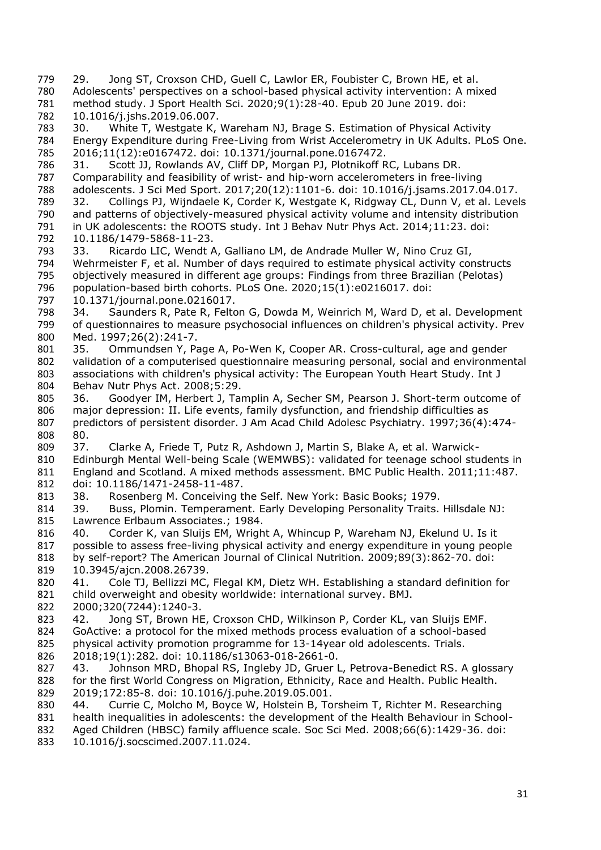<span id="page-30-15"></span><span id="page-30-14"></span><span id="page-30-13"></span><span id="page-30-12"></span><span id="page-30-11"></span><span id="page-30-10"></span><span id="page-30-9"></span><span id="page-30-8"></span><span id="page-30-7"></span><span id="page-30-6"></span><span id="page-30-5"></span><span id="page-30-4"></span><span id="page-30-3"></span><span id="page-30-2"></span><span id="page-30-1"></span><span id="page-30-0"></span> 29. Jong ST, Croxson CHD, Guell C, Lawlor ER, Foubister C, Brown HE, et al. Adolescents' perspectives on a school-based physical activity intervention: A mixed method study. J Sport Health Sci. 2020;9(1):28-40. Epub 20 June 2019. doi: 10.1016/j.jshs.2019.06.007. 30. White T, Westgate K, Wareham NJ, Brage S. Estimation of Physical Activity Energy Expenditure during Free-Living from Wrist Accelerometry in UK Adults. PLoS One. 2016;11(12):e0167472. doi: 10.1371/journal.pone.0167472. 31. Scott JJ, Rowlands AV, Cliff DP, Morgan PJ, Plotnikoff RC, Lubans DR. Comparability and feasibility of wrist- and hip-worn accelerometers in free-living adolescents. J Sci Med Sport. 2017;20(12):1101-6. doi: 10.1016/j.jsams.2017.04.017. 32. Collings PJ, Wijndaele K, Corder K, Westgate K, Ridgway CL, Dunn V, et al. Levels and patterns of objectively-measured physical activity volume and intensity distribution in UK adolescents: the ROOTS study. Int J Behav Nutr Phys Act. 2014;11:23. doi: 792 10.1186/1479-5868-11-23.<br>793 33. Ricardo LIC, Wendt A Ricardo LIC, Wendt A, Galliano LM, de Andrade Muller W, Nino Cruz GI, Wehrmeister F, et al. Number of days required to estimate physical activity constructs objectively measured in different age groups: Findings from three Brazilian (Pelotas) population-based birth cohorts. PLoS One. 2020;15(1):e0216017. doi: 10.1371/journal.pone.0216017. 798 34. Saunders R, Pate R, Felton G, Dowda M, Weinrich M, Ward D, et al. Development<br>799 of questionnaires to measure psychosocial influences on children's physical activity. Prev of questionnaires to measure psychosocial influences on children's physical activity. Prev Med. 1997;26(2):241-7. 801 35. Ommundsen Y, Page A, Po-Wen K, Cooper AR. Cross-cultural, age and gender<br>802 validation of a computerised questionnaire measuring personal, social and environmer validation of a computerised questionnaire measuring personal, social and environmental associations with children's physical activity: The European Youth Heart Study. Int J Behav Nutr Phys Act. 2008;5:29. 36. Goodyer IM, Herbert J, Tamplin A, Secher SM, Pearson J. Short-term outcome of 806 major depression: II. Life events, family dysfunction, and friendship difficulties as<br>807 predictors of persistent disorder. J Am Acad Child Adolesc Psychiatry. 1997;36(4): 807 predictors of persistent disorder. J Am Acad Child Adolesc Psychiatry. 1997;36(4):474-808 80. 80. 37. Clarke A, Friede T, Putz R, Ashdown J, Martin S, Blake A, et al. Warwick- Edinburgh Mental Well-being Scale (WEMWBS): validated for teenage school students in England and Scotland. A mixed methods assessment. BMC Public Health. 2011;11:487. doi: 10.1186/1471-2458-11-487. 38. Rosenberg M. Conceiving the Self. New York: Basic Books; 1979. 39. Buss, Plomin. Temperament. Early Developing Personality Traits. Hillsdale NJ: Lawrence Erlbaum Associates.; 1984. 40. Corder K, van Sluijs EM, Wright A, Whincup P, Wareham NJ, Ekelund U. Is it possible to assess free-living physical activity and energy expenditure in young people by self-report? The American Journal of Clinical Nutrition. 2009;89(3):862-70. doi: 10.3945/ajcn.2008.26739. 41. Cole TJ, Bellizzi MC, Flegal KM, Dietz WH. Establishing a standard definition for child overweight and obesity worldwide: international survey. BMJ. 2000;320(7244):1240-3. 42. Jong ST, Brown HE, Croxson CHD, Wilkinson P, Corder KL, van Sluijs EMF. GoActive: a protocol for the mixed methods process evaluation of a school-based 825 physical activity promotion programme for  $13-14$ year old adolescents. Trials.<br>826 2018;19(1):282. doi: 10.1186/s13063-018-2661-0. 2018;19(1):282. doi: 10.1186/s13063-018-2661-0. 43. Johnson MRD, Bhopal RS, Ingleby JD, Gruer L, Petrova-Benedict RS. A glossary for the first World Congress on Migration, Ethnicity, Race and Health. Public Health. 2019;172:85-8. doi: 10.1016/j.puhe.2019.05.001. 44. Currie C, Molcho M, Boyce W, Holstein B, Torsheim T, Richter M. Researching health inequalities in adolescents: the development of the Health Behaviour in School- Aged Children (HBSC) family affluence scale. Soc Sci Med. 2008;66(6):1429-36. doi: 10.1016/j.socscimed.2007.11.024.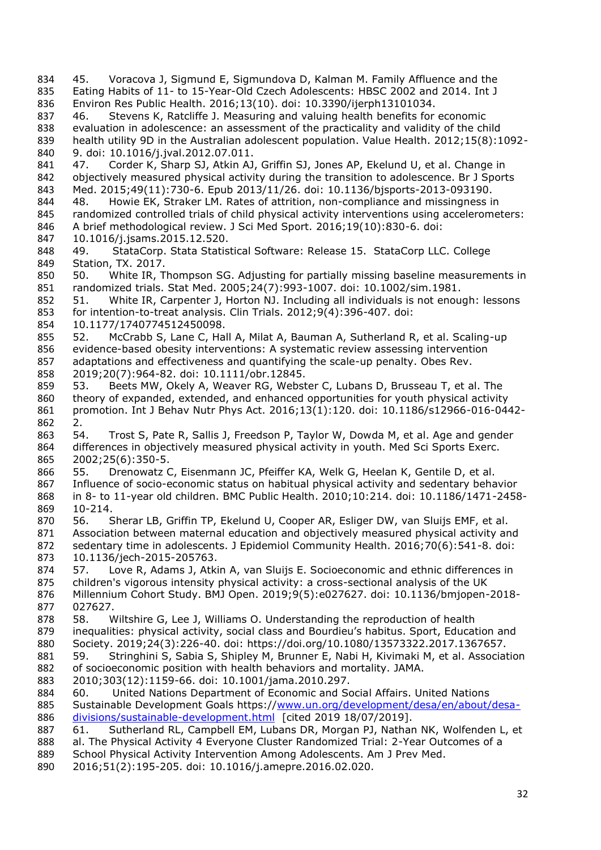- <span id="page-31-8"></span><span id="page-31-7"></span><span id="page-31-6"></span><span id="page-31-5"></span><span id="page-31-4"></span><span id="page-31-3"></span><span id="page-31-2"></span><span id="page-31-1"></span><span id="page-31-0"></span> 45. Voracova J, Sigmund E, Sigmundova D, Kalman M. Family Affluence and the Eating Habits of 11- to 15-Year-Old Czech Adolescents: HBSC 2002 and 2014. Int J Environ Res Public Health. 2016;13(10). doi: 10.3390/ijerph13101034. 46. Stevens K, Ratcliffe J. Measuring and valuing health benefits for economic evaluation in adolescence: an assessment of the practicality and validity of the child health utility 9D in the Australian adolescent population. Value Health. 2012;15(8):1092- 9. doi: 10.1016/j.jval.2012.07.011. 841 47. Corder K, Sharp SJ, Atkin AJ, Griffin SJ, Jones AP, Ekelund U, et al. Change in objectively measured physical activity during the transition to adolescence. Br J Sports Med. 2015;49(11):730-6. Epub 2013/11/26. doi: 10.1136/bjsports-2013-093190. 48. Howie EK, Straker LM. Rates of attrition, non-compliance and missingness in 845 randomized controlled trials of child physical activity interventions using accelerometers: A brief methodological review. J Sci Med Sport. 2016;19(10):830-6. doi: 847 10.1016/j.jsams.2015.12.520.<br>848 49. StataCorp. Stata Statis StataCorp. Stata Statistical Software: Release 15. StataCorp LLC. College Station, TX. 2017. 50. White IR, Thompson SG. Adjusting for partially missing baseline measurements in randomized trials. Stat Med. 2005;24(7):993-1007. doi: 10.1002/sim.1981. 51. White IR, Carpenter J, Horton NJ. Including all individuals is not enough: lessons for intention-to-treat analysis. Clin Trials. 2012;9(4):396-407. doi: 10.1177/1740774512450098. 52. McCrabb S, Lane C, Hall A, Milat A, Bauman A, Sutherland R, et al. Scaling-up evidence-based obesity interventions: A systematic review assessing intervention adaptations and effectiveness and quantifying the scale-up penalty. Obes Rev. 2019;20(7):964-82. doi: 10.1111/obr.12845. 53. Beets MW, Okely A, Weaver RG, Webster C, Lubans D, Brusseau T, et al. The 860 theory of expanded, extended, and enhanced opportunities for youth physical activity promotion. Int J Behav Nutr Phys Act. 2016;13(1):120. doi: 10.1186/s12966-016-0442- 2. 54. Trost S, Pate R, Sallis J, Freedson P, Taylor W, Dowda M, et al. Age and gender differences in objectively measured physical activity in youth. Med Sci Sports Exerc. 2002;25(6):350-5. 55. Drenowatz C, Eisenmann JC, Pfeiffer KA, Welk G, Heelan K, Gentile D, et al. Influence of socio-economic status on habitual physical activity and sedentary behavior in 8- to 11-year old children. BMC Public Health. 2010;10:214. doi: 10.1186/1471-2458- 10-214. 56. Sherar LB, Griffin TP, Ekelund U, Cooper AR, Esliger DW, van Sluijs EMF, et al. Association between maternal education and objectively measured physical activity and sedentary time in adolescents. J Epidemiol Community Health. 2016;70(6):541-8. doi: 10.1136/jech-2015-205763. 57. Love R, Adams J, Atkin A, van Sluijs E. Socioeconomic and ethnic differences in children's vigorous intensity physical activity: a cross-sectional analysis of the UK Millennium Cohort Study. BMJ Open. 2019;9(5):e027627. doi: 10.1136/bmjopen-2018- 027627. 58. Wiltshire G, Lee J, Williams O. Understanding the reproduction of health inequalities: physical activity, social class and Bourdieu's habitus. Sport, Education and 880 Society. 2019;24(3):226-40. doi: https://doi.org/10.1080/13573322.2017.1367657.<br>881 59. Stringhini S, Sabia S, Shipley M, Brunner E, Nabi H, Kivimaki M, et al. Associat 59. Stringhini S, Sabia S, Shipley M, Brunner E, Nabi H, Kivimaki M, et al. Association of socioeconomic position with health behaviors and mortality. JAMA. 2010;303(12):1159-66. doi: 10.1001/jama.2010.297. 60. United Nations Department of Economic and Social Affairs. United Nations Sustainable Development Goals https:/[/www.un.org/development/desa/en/about/desa](http://www.un.org/development/desa/en/about/desa-divisions/sustainable-development.html)[divisions/sustainable-development.html](http://www.un.org/development/desa/en/about/desa-divisions/sustainable-development.html) [cited 2019 18/07/2019]. 61. Sutherland RL, Campbell EM, Lubans DR, Morgan PJ, Nathan NK, Wolfenden L, et al. The Physical Activity 4 Everyone Cluster Randomized Trial: 2-Year Outcomes of a School Physical Activity Intervention Among Adolescents. Am J Prev Med.
- <span id="page-31-16"></span><span id="page-31-15"></span><span id="page-31-14"></span><span id="page-31-13"></span><span id="page-31-12"></span><span id="page-31-11"></span><span id="page-31-10"></span><span id="page-31-9"></span>2016;51(2):195-205. doi: 10.1016/j.amepre.2016.02.020.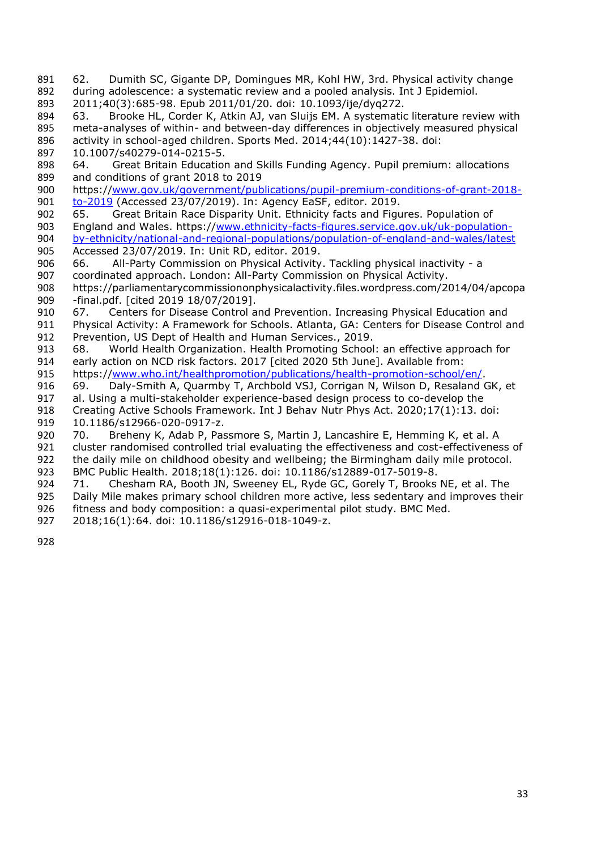- <span id="page-32-0"></span> 62. Dumith SC, Gigante DP, Domingues MR, Kohl HW, 3rd. Physical activity change during adolescence: a systematic review and a pooled analysis. Int J Epidemiol.
- 2011;40(3):685-98. Epub 2011/01/20. doi: 10.1093/ije/dyq272.
- <span id="page-32-1"></span> 63. Brooke HL, Corder K, Atkin AJ, van Sluijs EM. A systematic literature review with meta-analyses of within- and between-day differences in objectively measured physical activity in school-aged children. Sports Med. 2014;44(10):1427-38. doi:

10.1007/s40279-014-0215-5.

- <span id="page-32-2"></span> 64. Great Britain Education and Skills Funding Agency. Pupil premium: allocations and conditions of grant 2018 to 2019
- https:/[/www.gov.uk/government/publications/pupil-premium-conditions-of-grant-2018-](http://www.gov.uk/government/publications/pupil-premium-conditions-of-grant-2018-to-2019) [to-2019](http://www.gov.uk/government/publications/pupil-premium-conditions-of-grant-2018-to-2019) (Accessed 23/07/2019). In: Agency EaSF, editor. 2019.
- <span id="page-32-3"></span> 65. Great Britain Race Disparity Unit. Ethnicity facts and Figures. Population of 903 England and Wales. https:/[/www.ethnicity-facts-figures.service.gov.uk/uk-population](http://www.ethnicity-facts-figures.service.gov.uk/uk-population-by-ethnicity/national-and-regional-populations/population-of-england-and-wales/latest)[by-ethnicity/national-and-regional-populations/population-of-england-and-wales/latest](http://www.ethnicity-facts-figures.service.gov.uk/uk-population-by-ethnicity/national-and-regional-populations/population-of-england-and-wales/latest)<br>905 Accessed 23/07/2019. In: Unit RD, editor. 2019. Accessed 23/07/2019. In: Unit RD, editor. 2019.
- <span id="page-32-4"></span>66. All-Party Commission on Physical Activity. Tackling physical inactivity - a
- coordinated approach. London: All-Party Commission on Physical Activity.
- https://parliamentarycommissiononphysicalactivity.files.wordpress.com/2014/04/apcopa 909 - final.pdf. [cited 2019 18/07/2019].<br>910 67. Centers for Disease Control a
- <span id="page-32-5"></span>67. Centers for Disease Control and Prevention. Increasing Physical Education and
- 911 Physical Activity: A Framework for Schools. Atlanta, GA: Centers for Disease Control and Prevention, US Dept of Health and Human Services., 2019.
- <span id="page-32-6"></span>913 68. World Health Organization. Health Promoting School: an effective approach for 914 early action on NCD risk factors. 2017 [cited 2020 5th June]. Available from: early action on NCD risk factors. 2017 [cited 2020 5th June]. Available from:
- 915 https:/[/www.who.int/healthpromotion/publications/health-promotion-school/en/.](http://www.who.int/healthpromotion/publications/health-promotion-school/en/)
- <span id="page-32-7"></span>69. Daly-Smith A, Quarmby T, Archbold VSJ, Corrigan N, Wilson D, Resaland GK, et
- al. Using a multi-stakeholder experience-based design process to co-develop the
- Creating Active Schools Framework. Int J Behav Nutr Phys Act. 2020;17(1):13. doi:
- <span id="page-32-8"></span>919 10.1186/s12966-020-0917-z.<br>920 70. Breheny K, Adab P, Pas 70. Breheny K, Adab P, Passmore S, Martin J, Lancashire E, Hemming K, et al. A 921 cluster randomised controlled trial evaluating the effectiveness and cost-effectiveness of 922 the daily mile on childhood obesity and wellbeing; the Birmingham daily mile protocol.
- BMC Public Health. 2018;18(1):126. doi: 10.1186/s12889-017-5019-8.
- <span id="page-32-9"></span> 71. Chesham RA, Booth JN, Sweeney EL, Ryde GC, Gorely T, Brooks NE, et al. The Daily Mile makes primary school children more active, less sedentary and improves their fitness and body composition: a quasi-experimental pilot study. BMC Med.
- 2018;16(1):64. doi: 10.1186/s12916-018-1049-z.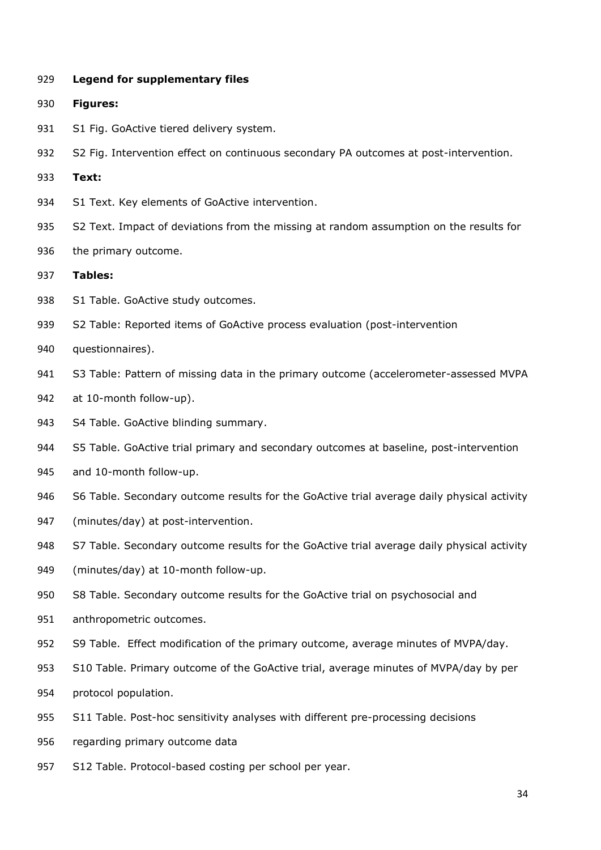**Legend for supplementary files**

- **Figures:**
- 931 S1 Fig. GoActive tiered delivery system.
- S2 Fig. Intervention effect on continuous secondary PA outcomes at post-intervention.
- **Text:**
- S1 Text. Key elements of GoActive intervention.
- S2 Text. Impact of deviations from the missing at random assumption on the results for
- 936 the primary outcome.
- **Tables:**
- 938 S1 Table. GoActive study outcomes.
- S2 Table: Reported items of GoActive process evaluation (post-intervention
- questionnaires).
- S3 Table: Pattern of missing data in the primary outcome (accelerometer-assessed MVPA
- at 10-month follow-up).
- 943 S4 Table. GoActive blinding summary.
- S5 Table. GoActive trial primary and secondary outcomes at baseline, post-intervention
- and 10-month follow-up.
- 946 S6 Table. Secondary outcome results for the GoActive trial average daily physical activity
- (minutes/day) at post-intervention.
- 948 S7 Table. Secondary outcome results for the GoActive trial average daily physical activity
- (minutes/day) at 10-month follow-up.
- S8 Table. Secondary outcome results for the GoActive trial on psychosocial and
- anthropometric outcomes.
- S9 Table. Effect modification of the primary outcome, average minutes of MVPA/day.
- S10 Table. Primary outcome of the GoActive trial, average minutes of MVPA/day by per
- protocol population.
- S11 Table. Post-hoc sensitivity analyses with different pre-processing decisions
- regarding primary outcome data
- S12 Table. Protocol-based costing per school per year.